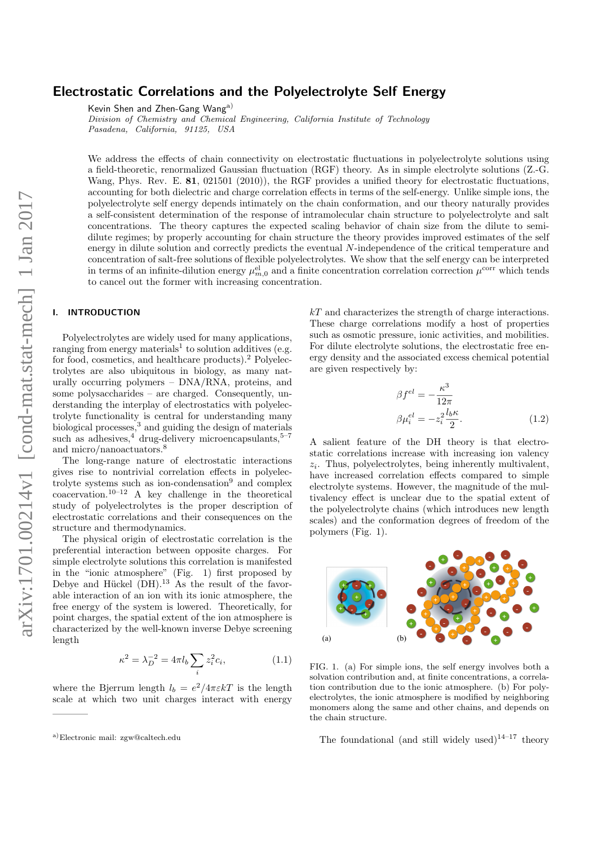# Electrostatic Correlations and the Polyelectrolyte Self Energy

Kevin Shen and Zhen-Gang Wanga)

Division of Chemistry and Chemical Engineering, California Institute of Technology Pasadena, California, 91125, USA

We address the effects of chain connectivity on electrostatic fluctuations in polyelectrolyte solutions using a field-theoretic, renormalized Gaussian fluctuation (RGF) theory. As in simple electrolyte solutions (Z.-G. Wang, Phys. Rev. E. 81, 021501 (2010)), the RGF provides a unified theory for electrostatic fluctuations, accounting for both dielectric and charge correlation effects in terms of the self-energy. Unlike simple ions, the polyelectrolyte self energy depends intimately on the chain conformation, and our theory naturally provides a self-consistent determination of the response of intramolecular chain structure to polyelectrolyte and salt concentrations. The theory captures the expected scaling behavior of chain size from the dilute to semidilute regimes; by properly accounting for chain structure the theory provides improved estimates of the self energy in dilute solution and correctly predicts the eventual N-independence of the critical temperature and concentration of salt-free solutions of flexible polyelectrolytes. We show that the self energy can be interpreted in terms of an infinite-dilution energy  $\mu_{m,0}^{el}$  and a finite concentration correlation correction  $\mu^{\text{corr}}$  which tends to cancel out the former with increasing concentration.

## I. INTRODUCTION

Polyelectrolytes are widely used for many applications, ranging from energy materials<sup>1</sup> to solution additives (e.g. for food, cosmetics, and healthcare products).<sup>2</sup> Polyelectrolytes are also ubiquitous in biology, as many naturally occurring polymers – DNA/RNA, proteins, and some polysaccharides – are charged. Consequently, understanding the interplay of electrostatics with polyelectrolyte functionality is central for understanding many biological processes,<sup>3</sup> and guiding the design of materials such as adhesives,<sup>4</sup> drug-delivery microencapsulants,<sup>5-7</sup> and micro/nanoactuators.<sup>8</sup>

The long-range nature of electrostatic interactions gives rise to nontrivial correlation effects in polyelectrolyte systems such as ion-condensation<sup>9</sup> and complex coacervation.10–12 A key challenge in the theoretical study of polyelectrolytes is the proper description of electrostatic correlations and their consequences on the structure and thermodynamics.

The physical origin of electrostatic correlation is the preferential interaction between opposite charges. For simple electrolyte solutions this correlation is manifested in the "ionic atmosphere" (Fig. 1) first proposed by Debye and Hückel  $(DH)$ .<sup>13</sup> As the result of the favorable interaction of an ion with its ionic atmosphere, the free energy of the system is lowered. Theoretically, for point charges, the spatial extent of the ion atmosphere is characterized by the well-known inverse Debye screening length

$$
\kappa^2 = \lambda_D^{-2} = 4\pi l_b \sum_i z_i^2 c_i, \tag{1.1}
$$

where the Bjerrum length  $l_b = e^2/4\pi\varepsilon kT$  is the length scale at which two unit charges interact with energy  $kT$  and characterizes the strength of charge interactions. These charge correlations modify a host of properties such as osmotic pressure, ionic activities, and mobilities. For dilute electrolyte solutions, the electrostatic free energy density and the associated excess chemical potential are given respectively by:

$$
\beta f^{el} = -\frac{\kappa^3}{12\pi}
$$
  

$$
\beta \mu_i^{el} = -z_i^2 \frac{l_b \kappa}{2}.
$$
 (1.2)

A salient feature of the DH theory is that electrostatic correlations increase with increasing ion valency  $z_i$ . Thus, polyelectrolytes, being inherently multivalent, have increased correlation effects compared to simple electrolyte systems. However, the magnitude of the multivalency effect is unclear due to the spatial extent of the polyelectrolyte chains (which introduces new length scales) and the conformation degrees of freedom of the polymers (Fig. 1).



FIG. 1. (a) For simple ions, the self energy involves both a solvation contribution and, at finite concentrations, a correlation contribution due to the ionic atmosphere. (b) For polyelectrolytes, the ionic atmosphere is modified by neighboring monomers along the same and other chains, and depends on the chain structure.

The foundational (and still widely used)<sup>14–17</sup> theory

a)Electronic mail: zgw@caltech.edu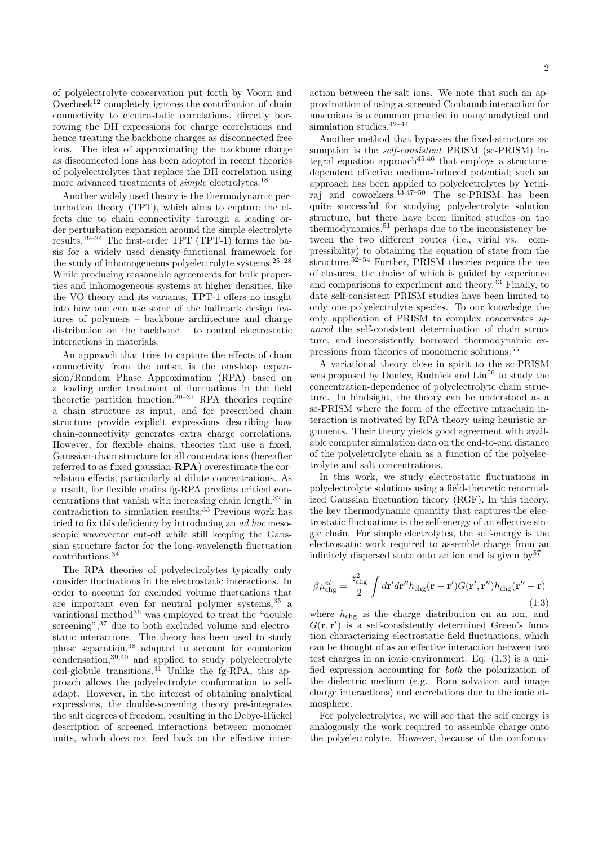of polyelectrolyte coacervation put forth by Voorn and Overbeek<sup>12</sup> completely ignores the contribution of chain connectivity to electrostatic correlations, directly borrowing the DH expressions for charge correlations and hence treating the backbone charges as disconnected free ions. The idea of approximating the backbone charge as disconnected ions has been adopted in recent theories of polyelectrolytes that replace the DH correlation using more advanced treatments of *simple* electrolytes.<sup>18</sup>

Another widely used theory is the thermodynamic perturbation theory (TPT), which aims to capture the effects due to chain connectivity through a leading order perturbation expansion around the simple electrolyte results.19–24 The first-order TPT (TPT-1) forms the basis for a widely used density-functional framework for the study of inhomogeneous polyelectrolyte systems.25–28 While producing reasonable agreements for bulk properties and inhomogeneous systems at higher densities, like the VO theory and its variants, TPT-1 offers no insight into how one can use some of the hallmark design features of polymers – backbone architecture and charge distribution on the backbone – to control electrostatic interactions in materials.

An approach that tries to capture the effects of chain connectivity from the outset is the one-loop expansion/Random Phase Approximation (RPA) based on a leading order treatment of fluctuations in the field theoretic partition function.29–31 RPA theories require a chain structure as input, and for prescribed chain structure provide explicit expressions describing how chain-connectivity generates extra charge correlations. However, for flexible chains, theories that use a fixed, Gaussian-chain structure for all concentrations (hereafter referred to as fixed gaussian-RPA) overestimate the correlation effects, particularly at dilute concentrations. As a result, for flexible chains fg-RPA predicts critical concentrations that vanish with increasing chain length,<sup>32</sup> in contradiction to simulation results.<sup>33</sup> Previous work has tried to fix this deficiency by introducing an ad hoc mesoscopic wavevector cut-off while still keeping the Gaussian structure factor for the long-wavelength fluctuation contributions.<sup>34</sup>

The RPA theories of polyelectrolytes typically only consider fluctuations in the electrostatic interactions. In order to account for excluded volume fluctuations that are important even for neutral polymer systems,<sup>35</sup> a variational method<sup>36</sup> was employed to treat the "double" screening",<sup>37</sup> due to both excluded volume and electrostatic interactions. The theory has been used to study phase separation,<sup>38</sup> adapted to account for counterion condensation,39,40 and applied to study polyelectrolyte  $\text{coil-globule}$  transitions.<sup>41</sup> Unlike the fg-RPA, this approach allows the polyelectrolyte conformation to selfadapt. However, in the interest of obtaining analytical expressions, the double-screening theory pre-integrates the salt degrees of freedom, resulting in the Debye-Hückel description of screened interactions between monomer units, which does not feed back on the effective interaction between the salt ions. We note that such an approximation of using a screened Couloumb interaction for macroions is a common practice in many analytical and simulation studies.42–44

Another method that bypasses the fixed-structure assumption is the *self-consistent* PRISM (sc-PRISM) integral equation approach $45,46$  that employs a structuredependent effective medium-induced potential; such an approach has been applied to polyelectrolytes by Yethiraj and coworkers. $43,47-50$  The sc-PRISM has been quite successful for studying polyelectrolyte solution structure, but there have been limited studies on the thermodynamics,  $51$  perhaps due to the inconsistency between the two different routes (i.e., virial vs. compressibility) to obtaining the equation of state from the structure.<sup>52–54</sup> Further, PRISM theories require the use of closures, the choice of which is guided by experience and comparisons to experiment and theory.<sup> $43$ </sup> Finally, to date self-consistent PRISM studies have been limited to only one polyelectrolyte species. To our knowledge the only application of PRISM to complex coacervates ignored the self-consistent determination of chain structure, and inconsistently borrowed thermodynamic expressions from theories of monomeric solutions.<sup>55</sup>

A variational theory close in spirit to the sc-PRISM was proposed by Donley, Rudnick and Liu<sup>56</sup> to study the concentration-dependence of polyelectrolyte chain structure. In hindsight, the theory can be understood as a sc-PRISM where the form of the effective intrachain interaction is motivated by RPA theory using heuristic arguments. Their theory yields good agreement with available computer simulation data on the end-to-end distance of the polyeletrolyte chain as a function of the polyelectrolyte and salt concentrations.

In this work, we study electrostatic fluctuations in polyelectrolyte solutions using a field-theoretic renormalized Gaussian fluctuation theory (RGF). In this theory, the key thermodynamic quantity that captures the electrostatic fluctuations is the self-energy of an effective single chain. For simple electrolytes, the self-energy is the electrostatic work required to assemble charge from an infinitely dispersed state onto an ion and is given  $bv^{57}$ 

$$
\beta \mu_{\rm chg}^{el} = \frac{z_{\rm chg}^2}{2} \int d\mathbf{r}' d\mathbf{r}'' h_{\rm chg}(\mathbf{r} - \mathbf{r}') G(\mathbf{r}', \mathbf{r}'') h_{\rm chg}(\mathbf{r}'' - \mathbf{r})
$$
\n(1.3)

where  $h_{\text{chg}}$  is the charge distribution on an ion, and  $G(\mathbf{r}, \mathbf{r}')$  is a self-consistently determined Green's function characterizing electrostatic field fluctuations, which can be thought of as an effective interaction between two test charges in an ionic environment. Eq. (1.3) is a unified expression accounting for both the polarization of the dielectric medium (e.g. Born solvation and image charge interactions) and correlations due to the ionic atmosphere.

For polyelectrolytes, we will see that the self energy is analogously the work required to assemble charge onto the polyelectrolyte. However, because of the conforma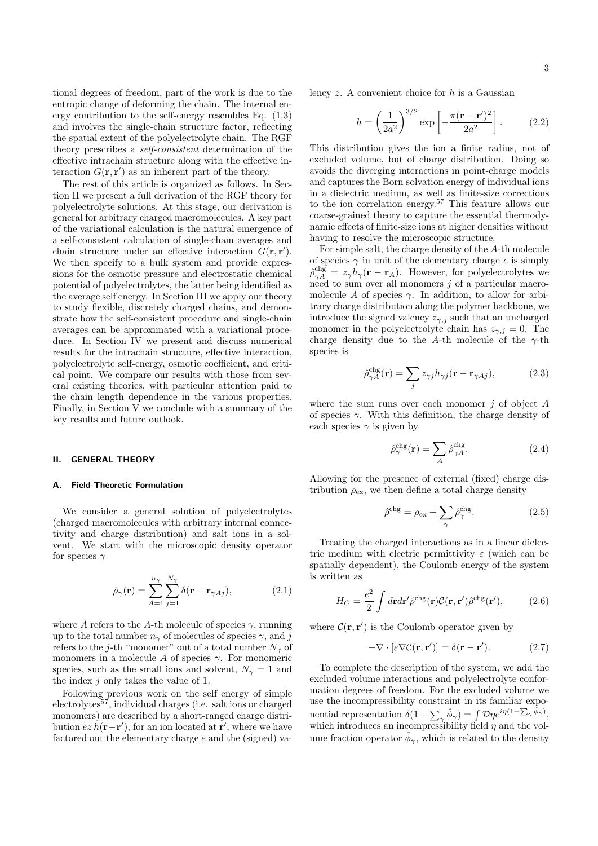tional degrees of freedom, part of the work is due to the entropic change of deforming the chain. The internal energy contribution to the self-energy resembles Eq. (1.3) and involves the single-chain structure factor, reflecting the spatial extent of the polyelectrolyte chain. The RGF theory prescribes a self-consistent determination of the effective intrachain structure along with the effective interaction  $G(\mathbf{r}, \mathbf{r}')$  as an inherent part of the theory.

The rest of this article is organized as follows. In Section II we present a full derivation of the RGF theory for polyelectrolyte solutions. At this stage, our derivation is general for arbitrary charged macromolecules. A key part of the variational calculation is the natural emergence of a self-consistent calculation of single-chain averages and chain structure under an effective interaction  $G(\mathbf{r}, \mathbf{r}')$ . We then specify to a bulk system and provide expressions for the osmotic pressure and electrostatic chemical potential of polyelectrolytes, the latter being identified as the average self energy. In Section III we apply our theory to study flexible, discretely charged chains, and demonstrate how the self-consistent procedure and single-chain averages can be approximated with a variational procedure. In Section IV we present and discuss numerical results for the intrachain structure, effective interaction, polyelectrolyte self-energy, osmotic coefficient, and critical point. We compare our results with those from several existing theories, with particular attention paid to the chain length dependence in the various properties. Finally, in Section V we conclude with a summary of the key results and future outlook.

#### II. GENERAL THEORY

#### A. Field-Theoretic Formulation

We consider a general solution of polyelectrolytes (charged macromolecules with arbitrary internal connectivity and charge distribution) and salt ions in a solvent. We start with the microscopic density operator for species  $\gamma$ 

$$
\hat{\rho}_{\gamma}(\mathbf{r}) = \sum_{A=1}^{n_{\gamma}} \sum_{j=1}^{N_{\gamma}} \delta(\mathbf{r} - \mathbf{r}_{\gamma A j}), \qquad (2.1)
$$

where A refers to the A-th molecule of species  $\gamma$ , running up to the total number  $n_{\gamma}$  of molecules of species  $\gamma$ , and j refers to the j-th "monomer" out of a total number  $N_{\gamma}$  of monomers in a molecule A of species  $\gamma$ . For monomeric species, such as the small ions and solvent,  $N_{\gamma} = 1$  and the index j only takes the value of 1.

Following previous work on the self energy of simple electrolytes<sup>57</sup>, individual charges (i.e. salt ions or charged monomers) are described by a short-ranged charge distribution  $ez h(\mathbf{r}-\mathbf{r}')$ , for an ion located at  $\mathbf{r}'$ , where we have factored out the elementary charge e and the (signed) valency  $z$ . A convenient choice for  $h$  is a Gaussian

$$
h = \left(\frac{1}{2a^2}\right)^{3/2} \exp\left[-\frac{\pi(\mathbf{r} - \mathbf{r}')^2}{2a^2}\right].
$$
 (2.2)

This distribution gives the ion a finite radius, not of excluded volume, but of charge distribution. Doing so avoids the diverging interactions in point-charge models and captures the Born solvation energy of individual ions in a dielectric medium, as well as finite-size corrections to the ion correlation energy.<sup>57</sup> This feature allows our coarse-grained theory to capture the essential thermodynamic effects of finite-size ions at higher densities without having to resolve the microscopic structure.

For simple salt, the charge density of the A-th molecule of species  $\gamma$  in unit of the elementary charge e is simply  $\hat{\rho}_{\gamma A}^{\text{chg}} = z_{\gamma} h_{\gamma}(\mathbf{r} - \mathbf{r}_A)$ . However, for polyelectrolytes we need to sum over all monomers  $j$  of a particular macromolecule A of species  $\gamma$ . In addition, to allow for arbitrary charge distribution along the polymer backbone, we introduce the signed valency  $z_{\gamma,j}$  such that an uncharged monomer in the polyelectrolyte chain has  $z_{\gamma,i} = 0$ . The charge density due to the A-th molecule of the  $\gamma$ -th species is

$$
\hat{\rho}_{\gamma A}^{\text{chg}}(\mathbf{r}) = \sum_{j} z_{\gamma j} h_{\gamma j}(\mathbf{r} - \mathbf{r}_{\gamma A j}), \tag{2.3}
$$

where the sum runs over each monomer  $j$  of object  $A$ of species  $\gamma$ . With this definition, the charge density of each species  $\gamma$  is given by

$$
\hat{\rho}_{\gamma}^{\text{chg}}(\mathbf{r}) = \sum_{A} \hat{\rho}_{\gamma A}^{\text{chg}}.
$$
\n(2.4)

Allowing for the presence of external (fixed) charge distribution  $\rho_{\rm ex}$ , we then define a total charge density

$$
\hat{\rho}^{\text{chg}} = \rho_{\text{ex}} + \sum_{\gamma} \hat{\rho}_{\gamma}^{\text{chg}}.
$$
\n(2.5)

Treating the charged interactions as in a linear dielectric medium with electric permittivity  $\varepsilon$  (which can be spatially dependent), the Coulomb energy of the system is written as

$$
H_C = \frac{e^2}{2} \int d\mathbf{r} d\mathbf{r}' \hat{\rho}^{\text{chg}}(\mathbf{r}) \mathcal{C}(\mathbf{r}, \mathbf{r}') \hat{\rho}^{\text{chg}}(\mathbf{r}'), \tag{2.6}
$$

where  $\mathcal{C}(\mathbf{r}, \mathbf{r}')$  is the Coulomb operator given by

$$
-\nabla \cdot [\varepsilon \nabla \mathcal{C}(\mathbf{r}, \mathbf{r}')] = \delta(\mathbf{r} - \mathbf{r}'). \tag{2.7}
$$

To complete the description of the system, we add the excluded volume interactions and polyelectrolyte conformation degrees of freedom. For the excluded volume we use the incompressibility constraint in its familiar exponential representation  $\delta(1-\sum_{\gamma}\hat{\phi}_{\gamma})=\int \mathcal{D}\eta e^{i\eta(1-\sum_{\gamma}\hat{\phi}_{\gamma})},$ which introduces an incompressibility field  $\eta$  and the volume fraction operator  $\hat{\phi}_{\gamma}$ , which is related to the density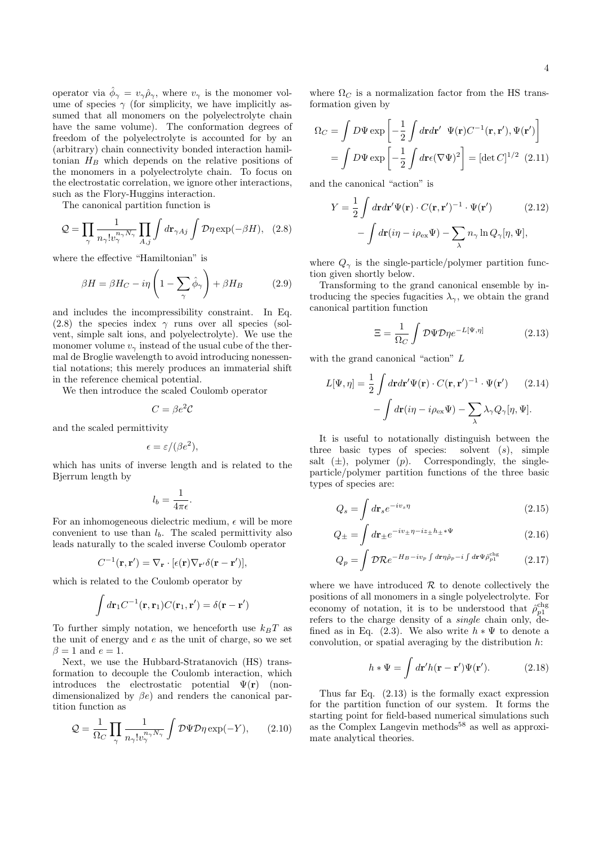operator via  $\hat{\phi}_{\gamma} = v_{\gamma} \hat{\rho}_{\gamma}$ , where  $v_{\gamma}$  is the monomer volume of species  $\gamma$  (for simplicity, we have implicitly assumed that all monomers on the polyelectrolyte chain have the same volume). The conformation degrees of freedom of the polyelectrolyte is accounted for by an (arbitrary) chain connectivity bonded interaction hamiltonian  $H_B$  which depends on the relative positions of the monomers in a polyelectrolyte chain. To focus on the electrostatic correlation, we ignore other interactions, such as the Flory-Huggins interaction.

The canonical partition function is

$$
Q = \prod_{\gamma} \frac{1}{n_{\gamma}! v_{\gamma}^{n_{\gamma}N_{\gamma}}} \prod_{A,j} \int d\mathbf{r}_{\gamma Aj} \int \mathcal{D}\eta \exp(-\beta H), \quad (2.8)
$$

where the effective "Hamiltonian" is

$$
\beta H = \beta H_C - i\eta \left( 1 - \sum_{\gamma} \hat{\phi}_{\gamma} \right) + \beta H_B \tag{2.9}
$$

and includes the incompressibility constraint. In Eq. (2.8) the species index  $\gamma$  runs over all species (solvent, simple salt ions, and polyelectrolyte). We use the monomer volume  $v_{\gamma}$  instead of the usual cube of the thermal de Broglie wavelength to avoid introducing nonessential notations; this merely produces an immaterial shift in the reference chemical potential.

We then introduce the scaled Coulomb operator

$$
C = \beta e^2 \mathcal{C}
$$

and the scaled permittivity

$$
\epsilon = \varepsilon / (\beta e^2),
$$

which has units of inverse length and is related to the Bjerrum length by

$$
l_b=\frac{1}{4\pi\epsilon}.
$$

For an inhomogeneous dielectric medium,  $\epsilon$  will be more convenient to use than  $l<sub>b</sub>$ . The scaled permittivity also leads naturally to the scaled inverse Coulomb operator

$$
C^{-1}(\mathbf{r}, \mathbf{r}') = \nabla_{\mathbf{r}} \cdot [\epsilon(\mathbf{r}) \nabla_{\mathbf{r}'} \delta(\mathbf{r} - \mathbf{r}')] ,
$$

which is related to the Coulomb operator by

$$
\int d\mathbf{r}_1 C^{-1}(\mathbf{r}, \mathbf{r}_1) C(\mathbf{r}_1, \mathbf{r}') = \delta(\mathbf{r} - \mathbf{r}')
$$

To further simply notation, we henceforth use  $k_BT$  as the unit of energy and  $e$  as the unit of charge, so we set  $\beta = 1$  and  $e = 1$ .

Next, we use the Hubbard-Stratanovich (HS) transformation to decouple the Coulomb interaction, which introduces the electrostatic potential  $\Psi(\mathbf{r})$  (nondimensionalized by  $\beta e$ ) and renders the canonical partition function as

$$
Q = \frac{1}{\Omega_C} \prod_{\gamma} \frac{1}{n_{\gamma}! v_{\gamma}^{n_{\gamma}N_{\gamma}}} \int \mathcal{D}\Psi \mathcal{D}\eta \exp(-Y), \qquad (2.10)
$$

where  $\Omega_C$  is a normalization factor from the HS transformation given by

$$
\Omega_C = \int D\Psi \exp\left[-\frac{1}{2}\int d\mathbf{r}d\mathbf{r}' \ \Psi(\mathbf{r})C^{-1}(\mathbf{r}, \mathbf{r}'), \Psi(\mathbf{r}')\right]
$$

$$
= \int D\Psi \exp\left[-\frac{1}{2}\int d\mathbf{r}\epsilon (\nabla\Psi)^2\right] = [\det C]^{1/2} \ (2.11)
$$

and the canonical "action" is

$$
Y = \frac{1}{2} \int d\mathbf{r} d\mathbf{r}' \Psi(\mathbf{r}) \cdot C(\mathbf{r}, \mathbf{r}')^{-1} \cdot \Psi(\mathbf{r}') \qquad (2.12)
$$

$$
- \int d\mathbf{r} (i\eta - i\rho_{\text{ex}} \Psi) - \sum_{\lambda} n_{\gamma} \ln Q_{\gamma}[\eta, \Psi],
$$

where  $Q_{\gamma}$  is the single-particle/polymer partition function given shortly below.

Transforming to the grand canonical ensemble by introducing the species fugacities  $\lambda_{\gamma}$ , we obtain the grand canonical partition function

$$
\Xi = \frac{1}{\Omega_C} \int \mathcal{D}\Psi \mathcal{D}\eta e^{-L[\Psi,\eta]}
$$
 (2.13)

with the grand canonical "action" L

$$
L[\Psi, \eta] = \frac{1}{2} \int d\mathbf{r} d\mathbf{r}' \Psi(\mathbf{r}) \cdot C(\mathbf{r}, \mathbf{r}')^{-1} \cdot \Psi(\mathbf{r}') \qquad (2.14)
$$

$$
- \int d\mathbf{r} (i\eta - i\rho_{\text{ex}} \Psi) - \sum_{\lambda} \lambda_{\gamma} Q_{\gamma}[\eta, \Psi].
$$

It is useful to notationally distinguish between the three basic types of species: solvent  $(s)$ , simple salt  $(\pm)$ , polymer  $(p)$ . Correspondingly, the singleparticle/polymer partition functions of the three basic types of species are:

$$
Q_s = \int d\mathbf{r}_s e^{-iv_s \eta} \tag{2.15}
$$

$$
Q_{\pm} = \int d\mathbf{r}_{\pm} e^{-iv_{\pm}\eta - iz_{\pm}h_{\pm}*\Psi} \tag{2.16}
$$

$$
Q_p = \int \mathcal{D} \mathcal{R} e^{-H_B - i v_p \int d \mathbf{r} \eta \hat{\rho}_p - i \int d \mathbf{r} \Psi \hat{\rho}_{p1}^{\text{chg}}} \tag{2.17}
$$

where we have introduced  $R$  to denote collectively the positions of all monomers in a single polyelectrolyte. For economy of notation, it is to be understood that  $\rho_{p1}^{\text{chg}}$ refers to the charge density of a single chain only, defined as in Eq. (2.3). We also write  $h * \Psi$  to denote a convolution, or spatial averaging by the distribution  $h$ :

$$
h * \Psi = \int d\mathbf{r}' h(\mathbf{r} - \mathbf{r}') \Psi(\mathbf{r}'). \tag{2.18}
$$

Thus far Eq. (2.13) is the formally exact expression for the partition function of our system. It forms the starting point for field-based numerical simulations such as the Complex Langevin methods<sup>58</sup> as well as approximate analytical theories.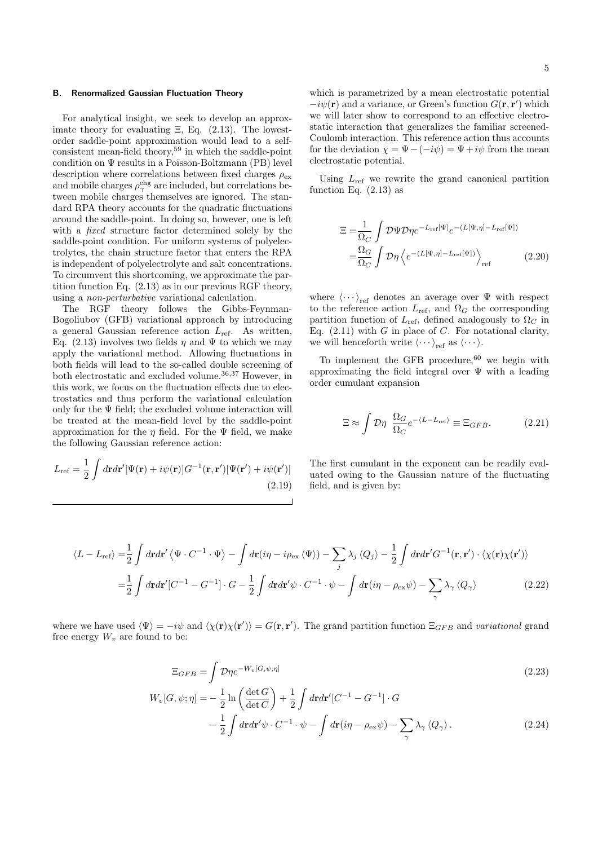#### B. Renormalized Gaussian Fluctuation Theory

For analytical insight, we seek to develop an approximate theory for evaluating  $\Xi$ , Eq. (2.13). The lowestorder saddle-point approximation would lead to a selfconsistent mean-field theory,  $59$  in which the saddle-point condition on Ψ results in a Poisson-Boltzmann (PB) level description where correlations between fixed charges  $\rho_{\text{ex}}$ and mobile charges  $\rho_{\gamma}^{\rm chg}$  are included, but correlations between mobile charges themselves are ignored. The standard RPA theory accounts for the quadratic fluctuations around the saddle-point. In doing so, however, one is left with a *fixed* structure factor determined solely by the saddle-point condition. For uniform systems of polyelectrolytes, the chain structure factor that enters the RPA is independent of polyelectrolyte and salt concentrations. To circumvent this shortcoming, we approximate the partition function Eq. (2.13) as in our previous RGF theory, using a non-perturbative variational calculation.

The RGF theory follows the Gibbs-Feynman-Bogoliubov (GFB) variational approach by introducing a general Gaussian reference action  $L_{ref}$ . As written, Eq. (2.13) involves two fields  $\eta$  and  $\Psi$  to which we may apply the variational method. Allowing fluctuations in both fields will lead to the so-called double screening of both electrostatic and excluded volume.<sup>36,37</sup> However, in this work, we focus on the fluctuation effects due to electrostatics and thus perform the variational calculation only for the  $\Psi$  field; the excluded volume interaction will be treated at the mean-field level by the saddle-point approximation for the  $\eta$  field. For the  $\Psi$  field, we make the following Gaussian reference action:

$$
L_{\rm ref} = \frac{1}{2} \int d\mathbf{r} d\mathbf{r}' [\Psi(\mathbf{r}) + i\psi(\mathbf{r})] G^{-1}(\mathbf{r}, \mathbf{r}') [\Psi(\mathbf{r}') + i\psi(\mathbf{r}')] \tag{2.19}
$$

which is parametrized by a mean electrostatic potential  $-i\psi(\mathbf{r})$  and a variance, or Green's function  $G(\mathbf{r}, \mathbf{r}')$  which we will later show to correspond to an effective electrostatic interaction that generalizes the familiar screened-Coulomb interaction. This reference action thus accounts for the deviation  $\chi = \Psi - (-i\psi) = \Psi + i\psi$  from the mean electrostatic potential.

Using  $L_{\text{ref}}$  we rewrite the grand canonical partition function Eq.  $(2.13)$  as

$$
\Xi = \frac{1}{\Omega_C} \int \mathcal{D}\Psi \mathcal{D}\eta e^{-L_{\text{ref}}[\Psi]} e^{-(L[\Psi,\eta]-L_{\text{ref}}[\Psi])}
$$

$$
= \frac{\Omega_G}{\Omega_C} \int \mathcal{D}\eta \left\langle e^{-(L[\Psi,\eta]-L_{\text{ref}}[\Psi])} \right\rangle_{\text{ref}} \qquad (2.20)
$$

where  $\langle \cdots \rangle_{\text{ref}}$  denotes an average over  $\Psi$  with respect to the reference action  $L_{\text{ref}}$ , and  $\Omega_G$  the corresponding partition function of  $L_{\text{ref}}$ , defined analogously to  $\Omega_C$  in Eq.  $(2.11)$  with G in place of C. For notational clarity, we will henceforth write  $\langle \cdots \rangle_{\text{ref}}$  as  $\langle \cdots \rangle$ .

To implement the GFB procedure, $60$  we begin with approximating the field integral over  $\Psi$  with a leading order cumulant expansion

$$
\Xi \approx \int \mathcal{D}\eta \ \frac{\Omega_G}{\Omega_C} e^{-\langle L - L_{\text{ref}} \rangle} \equiv \Xi_{GFB}.
$$
 (2.21)

The first cumulant in the exponent can be readily evaluated owing to the Gaussian nature of the fluctuating field, and is given by:

$$
\langle L - L_{\text{ref}} \rangle = \frac{1}{2} \int d\mathbf{r} d\mathbf{r}' \langle \Psi \cdot C^{-1} \cdot \Psi \rangle - \int d\mathbf{r} (i\eta - i\rho_{\text{ex}} \langle \Psi \rangle) - \sum_{j} \lambda_{j} \langle Q_{j} \rangle - \frac{1}{2} \int d\mathbf{r} d\mathbf{r}' G^{-1}(\mathbf{r}, \mathbf{r}') \cdot \langle \chi(\mathbf{r}) \chi(\mathbf{r}') \rangle
$$

$$
= \frac{1}{2} \int d\mathbf{r} d\mathbf{r}' [C^{-1} - G^{-1}] \cdot G - \frac{1}{2} \int d\mathbf{r} d\mathbf{r}' \psi \cdot C^{-1} \cdot \psi - \int d\mathbf{r} (i\eta - \rho_{\text{ex}} \psi) - \sum_{\gamma} \lambda_{\gamma} \langle Q_{\gamma} \rangle \tag{2.22}
$$

where we have used  $\langle \Psi \rangle = -i\psi$  and  $\langle \chi(\mathbf{r}) \chi(\mathbf{r'}) \rangle = G(\mathbf{r}, \mathbf{r'})$ . The grand partition function  $\Xi_{GFB}$  and variational grand free energy  $W_v$  are found to be:

$$
\Xi_{GFB} = \int \mathcal{D}\eta e^{-W_v[G,\psi;\eta]}
$$
\n
$$
V_v[G,\psi;\eta] = -\frac{1}{2}\ln\left(\frac{\det G}{1+G}\right) + \frac{1}{2}\int dr dr'[C^{-1} - G^{-1}] \cdot G
$$
\n
$$
(2.23)
$$

$$
W_{\nu}[G,\psi;\eta] = -\frac{1}{2}\ln\left(\frac{\det G}{\det C}\right) + \frac{1}{2}\int d\mathbf{r}d\mathbf{r}'[C^{-1} - G^{-1}] \cdot G
$$

$$
-\frac{1}{2}\int d\mathbf{r}d\mathbf{r}'\psi \cdot C^{-1} \cdot \psi - \int d\mathbf{r}(i\eta - \rho_{\rm ex}\psi) - \sum_{\gamma} \lambda_{\gamma} \langle Q_{\gamma} \rangle. \tag{2.24}
$$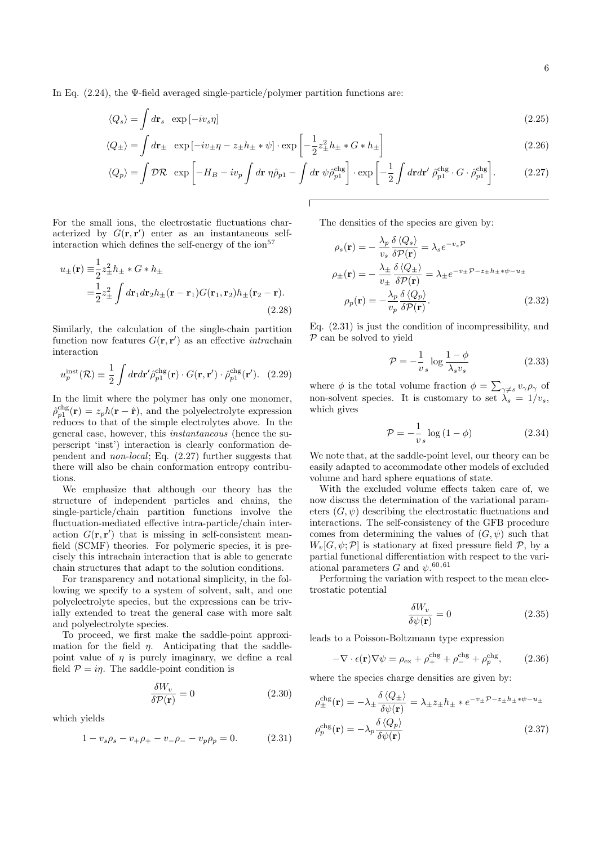In Eq.  $(2.24)$ , the Ψ-field averaged single-particle/polymer partition functions are:

$$
\langle Q_s \rangle = \int d\mathbf{r}_s \exp\left[-i v_s \eta\right] \tag{2.25}
$$

$$
\langle Q_{\pm} \rangle = \int d\mathbf{r}_{\pm} \exp\left[-iv_{\pm}\eta - z_{\pm}h_{\pm} * \psi\right] \cdot \exp\left[-\frac{1}{2}z_{\pm}^2h_{\pm} * G * h_{\pm}\right]
$$
\n(2.26)

$$
\langle Q_p \rangle = \int \mathcal{D}\mathcal{R} \exp\left[ -H_B - i v_p \int d\mathbf{r} \eta \hat{\rho}_{p1} - \int d\mathbf{r} \psi \hat{\rho}_{p1}^{\text{chg}} \right] \cdot \exp\left[ -\frac{1}{2} \int d\mathbf{r} d\mathbf{r}' \hat{\rho}_{p1}^{\text{chg}} \cdot G \cdot \hat{\rho}_{p1}^{\text{chg}} \right].
$$
 (2.27)

For the small ions, the electrostatic fluctuations characterized by  $G(\mathbf{r}, \mathbf{r}')$  enter as an instantaneous selfinteraction which defines the self-energy of the  $\mathrm{ion}^{57}$ 

$$
u_{\pm}(\mathbf{r}) \equiv \frac{1}{2} z_{\pm}^2 h_{\pm} * G * h_{\pm}
$$
  
=  $\frac{1}{2} z_{\pm}^2 \int d\mathbf{r}_1 d\mathbf{r}_2 h_{\pm}(\mathbf{r} - \mathbf{r}_1) G(\mathbf{r}_1, \mathbf{r}_2) h_{\pm}(\mathbf{r}_2 - \mathbf{r}).$  (2.28)

Similarly, the calculation of the single-chain partition function now features  $G(\mathbf{r}, \mathbf{r}')$  as an effective *intrachain* interaction

$$
u_p^{\text{inst}}(\mathcal{R}) \equiv \frac{1}{2} \int d\mathbf{r} d\mathbf{r}' \hat{\rho}_{p1}^{\text{chg}}(\mathbf{r}) \cdot G(\mathbf{r}, \mathbf{r}') \cdot \hat{\rho}_{p1}^{\text{chg}}(\mathbf{r}'). \tag{2.29}
$$

In the limit where the polymer has only one monomer,  $\hat{\rho}_{p1}^{\text{chg}}(\mathbf{r}) = z_p h(\mathbf{r} - \hat{\mathbf{r}})$ , and the polyelectrolyte expression reduces to that of the simple electrolytes above. In the general case, however, this instantaneous (hence the superscript 'inst') interaction is clearly conformation dependent and non-local; Eq. (2.27) further suggests that there will also be chain conformation entropy contributions.

We emphasize that although our theory has the structure of independent particles and chains, the single-particle/chain partition functions involve the fluctuation-mediated effective intra-particle/chain interaction  $G(\mathbf{r}, \mathbf{r}')$  that is missing in self-consistent meanfield (SCMF) theories. For polymeric species, it is precisely this intrachain interaction that is able to generate chain structures that adapt to the solution conditions.

For transparency and notational simplicity, in the following we specify to a system of solvent, salt, and one polyelectrolyte species, but the expressions can be trivially extended to treat the general case with more salt and polyelectrolyte species.

To proceed, we first make the saddle-point approximation for the field  $\eta$ . Anticipating that the saddlepoint value of  $\eta$  is purely imaginary, we define a real field  $P = i\eta$ . The saddle-point condition is

$$
\frac{\delta W_v}{\delta \mathcal{P}(\mathbf{r})} = 0 \tag{2.30}
$$

which yields

$$
1 - v_s \rho_s - v_+ \rho_+ - v_- \rho_- - v_p \rho_p = 0. \tag{2.31}
$$

The densities of the species are given by:

$$
\rho_s(\mathbf{r}) = -\frac{\lambda_p}{v_s} \frac{\delta \langle Q_s \rangle}{\delta \mathcal{P}(\mathbf{r})} = \lambda_s e^{-v_s \mathcal{P}}
$$
  
\n
$$
\rho_{\pm}(\mathbf{r}) = -\frac{\lambda_{\pm}}{v_{\pm}} \frac{\delta \langle Q_{\pm} \rangle}{\delta \mathcal{P}(\mathbf{r})} = \lambda_{\pm} e^{-v_{\pm} \mathcal{P} - z_{\pm} h_{\pm} * \psi - u_{\pm}}
$$
  
\n
$$
\rho_p(\mathbf{r}) = -\frac{\lambda_p}{v_p} \frac{\delta \langle Q_p \rangle}{\delta \mathcal{P}(\mathbf{r})}.
$$
\n(2.32)

Eq. (2.31) is just the condition of incompressibility, and  $P$  can be solved to yield

$$
\mathcal{P} = -\frac{1}{v_s} \log \frac{1 - \phi}{\lambda_s v_s} \tag{2.33}
$$

where  $\phi$  is the total volume fraction  $\phi = \sum_{\gamma \neq s} v_{\gamma} \rho_{\gamma}$  of non-solvent species. It is customary to set  $\lambda_s = 1/v_s$ , which gives

$$
\mathcal{P} = -\frac{1}{v_s} \log \left( 1 - \phi \right) \tag{2.34}
$$

We note that, at the saddle-point level, our theory can be easily adapted to accommodate other models of excluded volume and hard sphere equations of state.

With the excluded volume effects taken care of, we now discuss the determination of the variational parameters  $(G, \psi)$  describing the electrostatic fluctuations and interactions. The self-consistency of the GFB procedure comes from determining the values of  $(G, \psi)$  such that  $W_v[G, \psi; \mathcal{P}]$  is stationary at fixed pressure field  $\mathcal{P}$ , by a partial functional differentiation with respect to the variational parameters G and  $\psi$ .<sup>60,61</sup>

Performing the variation with respect to the mean electrostatic potential

$$
\frac{\delta W_v}{\delta \psi(\mathbf{r})} = 0 \tag{2.35}
$$

leads to a Poisson-Boltzmann type expression

$$
-\nabla \cdot \epsilon(\mathbf{r}) \nabla \psi = \rho_{\text{ex}} + \rho_{+}^{\text{chg}} + \rho_{-}^{\text{chg}} + \rho_{p}^{\text{chg}}, \qquad (2.36)
$$

where the species charge densities are given by:

$$
\rho_{\pm}^{\text{chg}}(\mathbf{r}) = -\lambda_{\pm} \frac{\delta \langle Q_{\pm} \rangle}{\delta \psi(\mathbf{r})} = \lambda_{\pm} z_{\pm} h_{\pm} * e^{-v_{\pm} \mathcal{P} - z_{\pm} h_{\pm} * \psi - u_{\pm}}
$$
\n
$$
\rho_p^{\text{chg}}(\mathbf{r}) = -\lambda_p \frac{\delta \langle Q_p \rangle}{\delta \psi(\mathbf{r})}
$$
\n(2.37)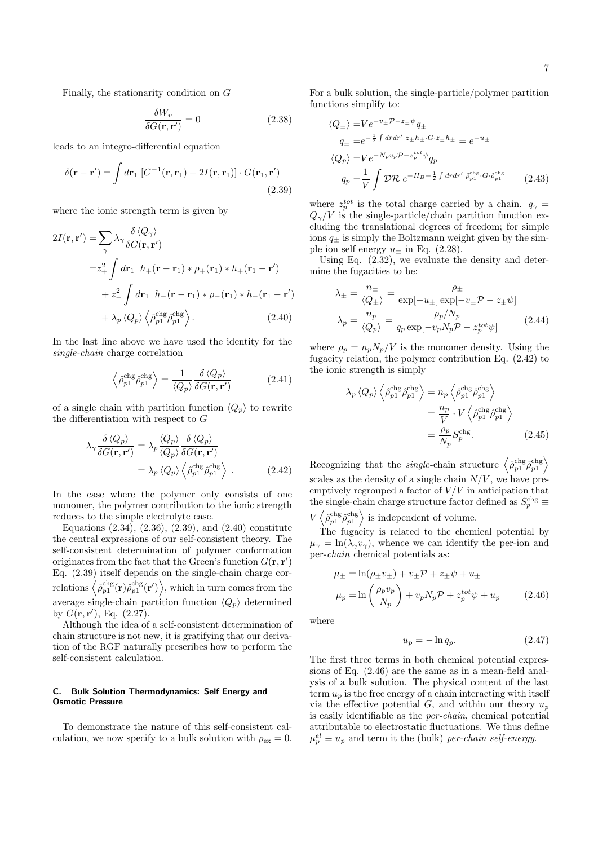Finally, the stationarity condition on G

$$
\frac{\delta W_v}{\delta G(\mathbf{r}, \mathbf{r}')} = 0 \tag{2.38}
$$

leads to an integro-differential equation

$$
\delta(\mathbf{r} - \mathbf{r}') = \int d\mathbf{r}_1 \left[ C^{-1}(\mathbf{r}, \mathbf{r}_1) + 2I(\mathbf{r}, \mathbf{r}_1) \right] \cdot G(\mathbf{r}_1, \mathbf{r}')
$$
\n(2.39)

where the ionic strength term is given by

$$
2I(\mathbf{r}, \mathbf{r}') = \sum_{\gamma} \lambda_{\gamma} \frac{\delta \langle Q_{\gamma} \rangle}{\delta G(\mathbf{r}, \mathbf{r}')} = z_{+}^{2} \int d\mathbf{r}_{1} \ h_{+}(\mathbf{r} - \mathbf{r}_{1}) \ast \rho_{+}(\mathbf{r}_{1}) \ast h_{+}(\mathbf{r}_{1} - \mathbf{r}') + z_{-}^{2} \int d\mathbf{r}_{1} \ h_{-}(\mathbf{r} - \mathbf{r}_{1}) \ast \rho_{-}(\mathbf{r}_{1}) \ast h_{-}(\mathbf{r}_{1} - \mathbf{r}') + \lambda_{p} \langle Q_{p} \rangle \langle \hat{\rho}_{p1}^{\text{chg}} \hat{\rho}_{p1}^{\text{chg}} \rangle.
$$
 (2.40)

In the last line above we have used the identity for the single-chain charge correlation

$$
\left\langle \hat{\rho}_{p1}^{\text{chg}} \hat{\rho}_{p1}^{\text{chg}} \right\rangle = \frac{1}{\left\langle Q_p \right\rangle} \frac{\delta \left\langle Q_p \right\rangle}{\delta G(\mathbf{r}, \mathbf{r}')} \tag{2.41}
$$

of a single chain with partition function  $\langle Q_p \rangle$  to rewrite the differentiation with respect to G

$$
\lambda_{\gamma} \frac{\delta \langle Q_p \rangle}{\delta G(\mathbf{r}, \mathbf{r}')} = \lambda_p \frac{\langle Q_p \rangle}{\langle Q_p \rangle} \frac{\delta \langle Q_p \rangle}{\delta G(\mathbf{r}, \mathbf{r}')} \n= \lambda_p \langle Q_p \rangle \left\langle \hat{\rho}_{p1}^{\text{chg}} \hat{\rho}_{p1}^{\text{chg}} \right\rangle .
$$
\n(2.42)

In the case where the polymer only consists of one monomer, the polymer contribution to the ionic strength reduces to the simple electrolyte case.

Equations (2.34), (2.36), (2.39), and (2.40) constitute the central expressions of our self-consistent theory. The self-consistent determination of polymer conformation originates from the fact that the Green's function  $G(\mathbf{r}, \mathbf{r}')$ Eq. (2.39) itself depends on the single-chain charge correlations  $\left\langle \hat{\rho}^{\rm chg}_{p1}({\bf r})\hat{\rho}^{\rm chg}_{p1}({\bf r}')\right\rangle$ , which in turn comes from the average single-chain partition function  $\langle Q_p \rangle$  determined by  $G(\mathbf{r}, \mathbf{r}')$ , Eq. (2.27).

Although the idea of a self-consistent determination of chain structure is not new, it is gratifying that our derivation of the RGF naturally prescribes how to perform the self-consistent calculation.

#### C. Bulk Solution Thermodynamics: Self Energy and Osmotic Pressure

To demonstrate the nature of this self-consistent calculation, we now specify to a bulk solution with  $\rho_{\text{ex}} = 0$ . For a bulk solution, the single-particle/polymer partition functions simplify to:

$$
\langle Q_{\pm} \rangle = V e^{-v_{\pm} \mathcal{P} - z_{\pm} \psi} q_{\pm}
$$
  
\n
$$
q_{\pm} = e^{-\frac{1}{2} \int dr dr' z_{\pm} h_{\pm} \cdot G \cdot z_{\pm} h_{\pm}} = e^{-u_{\pm}}
$$
  
\n
$$
\langle Q_p \rangle = V e^{-N_p v_p \mathcal{P} - z_p^{tot} \psi} q_p
$$
  
\n
$$
q_p = \frac{1}{V} \int \mathcal{D}R \ e^{-H_B - \frac{1}{2} \int dr dr' \hat{\rho}_{p1}^{\text{chg}} \cdot G \cdot \hat{\rho}_{p1}^{\text{chg}}} \qquad (2.43)
$$

where  $z_p^{tot}$  is the total charge carried by a chain.  $q_{\gamma} =$  $Q_{\gamma}/V$  is the single-particle/chain partition function excluding the translational degrees of freedom; for simple ions  $q_{+}$  is simply the Boltzmann weight given by the simple ion self energy  $u_{\pm}$  in Eq. (2.28).

Using Eq. (2.32), we evaluate the density and determine the fugacities to be:

$$
\lambda_{\pm} = \frac{n_{\pm}}{\langle Q_{\pm} \rangle} = \frac{\rho_{\pm}}{\exp[-u_{\pm}] \exp[-v_{\pm} \mathcal{P} - z_{\pm} \psi]}
$$

$$
\lambda_{p} = \frac{n_{p}}{\langle Q_{p} \rangle} = \frac{\rho_{p}/N_{p}}{q_{p} \exp[-v_{p} N_{p} \mathcal{P} - z_{p}^{tot} \psi]}
$$
(2.44)

where  $\rho_p = n_p N_p/V$  is the monomer density. Using the fugacity relation, the polymer contribution Eq. (2.42) to the ionic strength is simply

$$
\lambda_{p} \langle Q_{p} \rangle \left\langle \hat{\rho}_{p1}^{\text{chg}} \hat{\rho}_{p1}^{\text{chg}} \right\rangle = n_{p} \left\langle \hat{\rho}_{p1}^{\text{chg}} \hat{\rho}_{p1}^{\text{chg}} \right\rangle
$$

$$
= \frac{n_{p}}{V} \cdot V \left\langle \hat{\rho}_{p1}^{\text{chg}} \hat{\rho}_{p1}^{\text{chg}} \right\rangle
$$

$$
= \frac{\rho_{p}}{N_{p}} S_{p}^{\text{chg}}.
$$
(2.45)

Recognizing that the *single*-chain structure  $\left\langle \hat{\rho}_{p1}^{\text{chg}} \hat{\rho}_{p1}^{\text{chg}} \right\rangle$ scales as the density of a single chain  $N/V$ , we have preemptively regrouped a factor of  $V\hspace{-0.1cm}/ V$  in anticipation that the single-chain charge structure factor defined as  $S_p^{\text{chg}}$   $\equiv$ 

 $V\left\langle \hat{\rho}_{p1}^{\text{chg}} \hat{\rho}_{p1}^{\text{chg}} \right\rangle$  is independent of volume.

The fugacity is related to the chemical potential by  $\mu_{\gamma} = \ln(\lambda_{\gamma} v_{\gamma})$ , whence we can identify the per-ion and per-chain chemical potentials as:

$$
\mu_{\pm} = \ln(\rho_{\pm}v_{\pm}) + v_{\pm}\mathcal{P} + z_{\pm}\psi + u_{\pm}
$$
  

$$
\mu_{p} = \ln\left(\frac{\rho_{p}v_{p}}{N_{p}}\right) + v_{p}N_{p}\mathcal{P} + z_{p}^{tot}\psi + u_{p} \qquad (2.46)
$$

where

$$
u_p = -\ln q_p. \tag{2.47}
$$

The first three terms in both chemical potential expressions of Eq. (2.46) are the same as in a mean-field analysis of a bulk solution. The physical content of the last term  $u_p$  is the free energy of a chain interacting with itself via the effective potential  $G$ , and within our theory  $u_p$ is easily identifiable as the per-chain, chemical potential attributable to electrostatic fluctuations. We thus define  $\mu_p^{el} \equiv u_p$  and term it the (bulk) per-chain self-energy.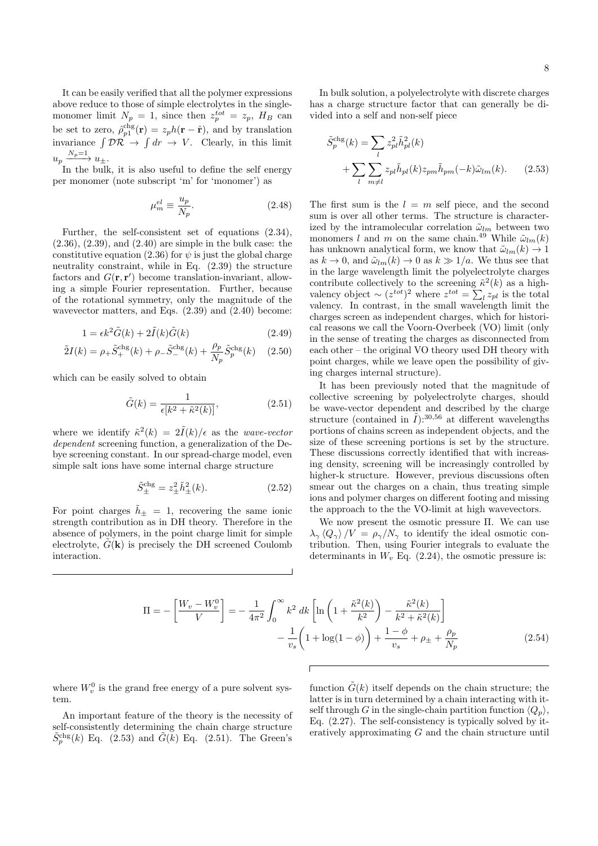It can be easily verified that all the polymer expressions above reduce to those of simple electrolytes in the singlemonomer limit  $N_p = 1$ , since then  $z_p^{tot} = z_p$ ,  $H_B$  can be set to zero,  $\hat{\rho}_{p1}^{\text{chg}}(\mathbf{r}) = z_p h(\mathbf{r} - \hat{\mathbf{r}})$ , and by translation invariance  $\int \mathcal{D}\mathcal{R} \to \int dr \to V$ . Clearly, in this limit  $u_p \xrightarrow{N_p=1} u_{\pm}.$ 

In the bulk, it is also useful to define the self energy per monomer (note subscript 'm' for 'monomer') as

$$
\mu_m^{el} \equiv \frac{u_p}{N_p}.\tag{2.48}
$$

Further, the self-consistent set of equations (2.34), (2.36), (2.39), and (2.40) are simple in the bulk case: the constitutive equation (2.36) for  $\psi$  is just the global charge neutrality constraint, while in Eq. (2.39) the structure factors and  $G(\mathbf{r}, \mathbf{r}')$  become translation-invariant, allowing a simple Fourier representation. Further, because of the rotational symmetry, only the magnitude of the wavevector matters, and Eqs. (2.39) and (2.40) become:

$$
1 = \epsilon k^2 \tilde{G}(k) + 2\tilde{I}(k)\tilde{G}(k)
$$
\n(2.49)

$$
\tilde{2}I(k) = \rho_{+} \tilde{S}_{+}^{\text{chg}}(k) + \rho_{-} \tilde{S}_{-}^{\text{chg}}(k) + \frac{\rho_{p}}{N_{p}} \tilde{S}_{p}^{\text{chg}}(k) \quad (2.50)
$$

which can be easily solved to obtain

$$
\tilde{G}(k) = \frac{1}{\epsilon[k^2 + \tilde{\kappa}^2(k)]},\tag{2.51}
$$

where we identify  $\tilde{\kappa}^2(k) = 2\tilde{I}(k)/\epsilon$  as the *wave-vector* dependent screening function, a generalization of the Debye screening constant. In our spread-charge model, even simple salt ions have some internal charge structure

$$
\tilde{S}_{\pm}^{\text{chg}} = z_{\pm}^2 \tilde{h}_{\pm}^2(k). \tag{2.52}
$$

For point charges  $\tilde{h}_{\pm} = 1$ , recovering the same ionic strength contribution as in DH theory. Therefore in the absence of polymers, in the point charge limit for simple electrolyte,  $\tilde{G}(\mathbf{k})$  is precisely the DH screened Coulomb interaction.

In bulk solution, a polyelectrolyte with discrete charges has a charge structure factor that can generally be divided into a self and non-self piece

$$
\tilde{S}_p^{\text{chg}}(k) = \sum_l z_{pl}^2 \tilde{h}_{pl}^2(k)
$$

$$
+ \sum_l \sum_{m \neq l} z_{pl} \tilde{h}_{pl}(k) z_{pm} \tilde{h}_{pm}(-k) \tilde{\omega}_{lm}(k). \qquad (2.53)
$$

The first sum is the  $l = m$  self piece, and the second sum is over all other terms. The structure is characterized by the intramolecular correlation  $\tilde{\omega}_{lm}$  between two monomers l and m on the same chain.<sup>49</sup> While  $\tilde{\omega}_{lm}(k)$ has unknown analytical form, we know that  $\tilde{\omega}_{lm}(k) \rightarrow 1$ as  $k \to 0$ , and  $\tilde{\omega}_{lm}(k) \to 0$  as  $k \gg 1/a$ . We thus see that in the large wavelength limit the polyelectrolyte charges contribute collectively to the screening  $\tilde{\kappa}^2(k)$  as a highvalency object ~  $(z^{tot})^2$  where  $z^{tot} = \sum_l z_{pl}$  is the total valency. In contrast, in the small wavelength limit the charges screen as independent charges, which for historical reasons we call the Voorn-Overbeek (VO) limit (only in the sense of treating the charges as disconnected from each other – the original VO theory used DH theory with point charges, while we leave open the possibility of giving charges internal structure).

It has been previously noted that the magnitude of collective screening by polyelectrolyte charges, should be wave-vector dependent and described by the charge structure (contained in  $\tilde{I}$ ):<sup>30,56</sup> at different wavelengths portions of chains screen as independent objects, and the size of these screening portions is set by the structure. These discussions correctly identified that with increasing density, screening will be increasingly controlled by higher-k structure. However, previous discussions often smear out the charges on a chain, thus treating simple ions and polymer charges on different footing and missing the approach to the the VO-limit at high wavevectors.

We now present the osmotic pressure Π. We can use  $\lambda_{\gamma} \langle Q_{\gamma} \rangle /V = \rho_{\gamma}/N_{\gamma}$  to identify the ideal osmotic contribution. Then, using Fourier integrals to evaluate the determinants in  $W<sub>v</sub>$  Eq. (2.24), the osmotic pressure is:

$$
\Pi = -\left[\frac{W_v - W_v^0}{V}\right] = -\frac{1}{4\pi^2} \int_0^\infty k^2 dk \left[\ln\left(1 + \frac{\tilde{\kappa}^2(k)}{k^2}\right) - \frac{\tilde{\kappa}^2(k)}{k^2 + \tilde{\kappa}^2(k)}\right] -\frac{1}{v_s} \left(1 + \log(1 - \phi)\right) + \frac{1 - \phi}{v_s} + \rho_{\pm} + \frac{\rho_p}{N_p}
$$
(2.54)

where  $W_v^0$  is the grand free energy of a pure solvent system.

An important feature of the theory is the necessity of self-consistently determining the chain charge structure  $\tilde{S}_{p}^{\text{chg}}(k)$  Eq. (2.53) and  $\tilde{G}(\tilde{k})$  Eq. (2.51). The Green's

function  $\tilde{G}(k)$  itself depends on the chain structure; the latter is in turn determined by a chain interacting with itself through G in the single-chain partition function  $\langle Q_n \rangle$ , Eq. (2.27). The self-consistency is typically solved by iteratively approximating G and the chain structure until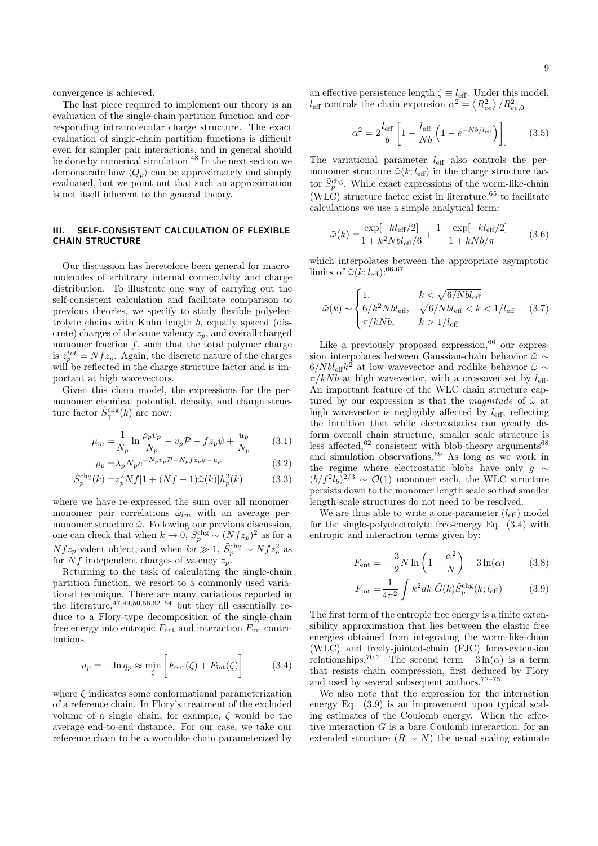convergence is achieved.

The last piece required to implement our theory is an evaluation of the single-chain partition function and corresponding intramolecular charge structure. The exact evaluation of single-chain partition functions is difficult even for simpler pair interactions, and in general should be done by numerical simulation.<sup>48</sup> In the next section we demonstrate how  $\langle Q_p \rangle$  can be approximately and simply evaluated, but we point out that such an approximation is not itself inherent to the general theory.

## III. SELF-CONSISTENT CALCULATION OF FLEXIBLE CHAIN STRUCTURE

Our discussion has heretofore been general for macromolecules of arbitrary internal connectivity and charge distribution. To illustrate one way of carrying out the self-consistent calculation and facilitate comparison to previous theories, we specify to study flexible polyelectrolyte chains with Kuhn length b, equally spaced (discrete) charges of the same valency  $z_p$ , and overall charged monomer fraction  $f$ , such that the total polymer charge is  $z_p^{tot} = Nf z_p$ . Again, the discrete nature of the charges will be reflected in the charge structure factor and is important at high wavevectors.

Given this chain model, the expressions for the permonomer chemical potential, density, and charge structure factor  $\tilde{S}_{\gamma}^{\text{chg}}(k)$  are now:

$$
\mu_m = \frac{1}{N_p} \ln \frac{\rho_p v_p}{N_p} - v_p \mathcal{P} + f z_p \psi + \frac{u_p}{N_p} \tag{3.1}
$$

$$
\rho_p = \lambda_p N_p e^{-N_p v_p \mathcal{P} - N_p f z_p \psi - u_p} \tag{3.2}
$$

$$
\tilde{S}_p^{\text{chg}}(k) = z_p^2 N f [1 + (Nf - 1)\tilde{\omega}(k)] \tilde{h}_p^2(k)
$$
 (3.3)

where we have re-expressed the sum over all monomermonomer pair correlations  $\tilde{\omega}_{lm}$  with an average permonomer structure  $\tilde{\omega}$ . Following our previous discussion, one can check that when  $k \to 0$ ,  $\tilde{S}_p^{\text{chg}} \sim (Nfz_p)^2$  as for a  $Nf_{z_p}$ -valent object, and when  $ka \gg 1$ ,  $\tilde{S}_p^{\text{chg}} \sim Nf_{z_p}^2$  as for  $\overline{N}f$  independent charges of valency  $z_p$ .

Returning to the task of calculating the single-chain partition function, we resort to a commonly used variational technique. There are many variations reported in the literature,  $47,49,50,56,62-64$  but they all essentially reduce to a Flory-type decomposition of the single-chain free energy into entropic  $F_{\text{ent}}$  and interaction  $F_{\text{int}}$  contributions

$$
u_p = -\ln q_p \approx \min_{\zeta} \left[ F_{\text{ent}}(\zeta) + F_{\text{int}}(\zeta) \right] \tag{3.4}
$$

where  $\zeta$  indicates some conformational parameterization of a reference chain. In Flory's treatment of the excluded volume of a single chain, for example,  $\zeta$  would be the average end-to-end distance. For our case, we take our reference chain to be a wormlike chain parameterized by an effective persistence length  $\zeta \equiv l_{\text{eff}}$ . Under this model,  $l_{\text{eff}}$  controls the chain expansion  $\alpha^2 = \langle R_{ee}^2 \rangle / R_{ee,0}^2$ 

$$
\alpha^2 = 2 \frac{l_{\text{eff}}}{b} \left[ 1 - \frac{l_{\text{eff}}}{Nb} \left( 1 - e^{-Nb/l_{\text{eff}}} \right) \right] \tag{3.5}
$$

The variational parameter  $l_{\text{eff}}$  also controls the permonomer structure  $\tilde{\omega}(k; l_{\text{eff}})$  in the charge structure factor  $\tilde{S}_p^{\text{chg}}$ . While exact expressions of the worm-like-chain (WLC) structure factor exist in literature,  $65$  to facilitate calculations we use a simple analytical form:

$$
\tilde{\omega}(k) = \frac{\exp[-kl_{\text{eff}}/2]}{1 + k^2 N b l_{\text{eff}} / 6} + \frac{1 - \exp[-kl_{\text{eff}}/2]}{1 + k N b / \pi} \tag{3.6}
$$

which interpolates between the appropriate asymptotic limits of  $\tilde{\omega}(k; l_{\text{eff}}):^{66,67}$ 

$$
\tilde{\omega}(k) \sim \begin{cases} 1, & k < \sqrt{6/Nbl_{\text{eff}} } \\ 6/k^2 Nbl_{\text{eff}}, & \sqrt{6/Nbl_{\text{eff}}} < k < 1/l_{\text{eff}} \\ \pi/kNb, & k > 1/l_{\text{eff}} \end{cases}
$$
(3.7)

Like a previously proposed expression,  $66$  our expression interpolates between Gaussian-chain behavior  $\tilde{\omega}$  ∼  $6/Nbl_{\text{eff}}k^2$  at low wavevector and rodlike behavior  $\tilde{\omega} \sim$  $\pi/kNb$  at high wavevector, with a crossover set by  $l_{\text{eff}}$ . An important feature of the WLC chain structure captured by our expression is that the magnitude of  $\tilde{\omega}$  at high wavevector is negligibly affected by  $l_{\text{eff}}$ , reflecting the intuition that while electrostatics can greatly deform overall chain structure, smaller scale structure is less affected, $62$  consistent with blob-theory arguments  $68$ and simulation observations. $69$  As long as we work in the regime where electrostatic blobs have only  $q \sim$  $(b/f^2l_b)^{2/3} \sim \mathcal{O}(1)$  monomer each, the WLC structure persists down to the monomer length scale so that smaller length-scale structures do not need to be resolved.

We are thus able to write a one-parameter  $(l_{\text{eff}})$  model for the single-polyelectrolyte free-energy Eq. (3.4) with entropic and interaction terms given by:

$$
F_{\text{ent}} = -\frac{3}{2}N\ln\left(1 - \frac{\alpha^2}{N}\right) - 3\ln(\alpha) \tag{3.8}
$$

$$
F_{\rm int} = \frac{1}{4\pi^2} \int k^2 dk \ \tilde{G}(k) \tilde{S}_p^{\rm chg}(k; l_{\rm eff}) \tag{3.9}
$$

The first term of the entropic free energy is a finite extensibility approximation that lies between the elastic free energies obtained from integrating the worm-like-chain (WLC) and freely-jointed-chain (FJC) force-extension relationships.<sup>70,71</sup> The second term  $-3 \ln(\alpha)$  is a term that resists chain compression, first deduced by Flory and used by several subsequent authors.  $^{72-75}$ 

We also note that the expression for the interaction energy Eq. (3.9) is an improvement upon typical scaling estimates of the Coulomb energy. When the effective interaction G is a bare Coulomb interaction, for an extended structure  $(R \sim N)$  the usual scaling estimate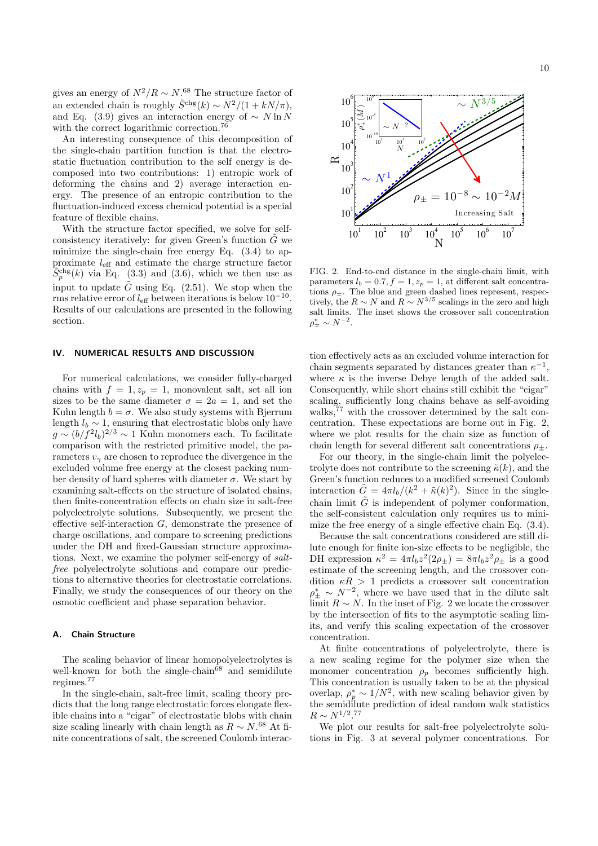gives an energy of  $N^2/R \sim N^{68}$ . The structure factor of an extended chain is roughly  $\tilde{S}^{chg}(k) \sim N^2/(1 + kN/\pi)$ , and Eq. (3.9) gives an interaction energy of  $\sim N \ln N$ with the correct logarithmic correction.<sup>76</sup>

An interesting consequence of this decomposition of the single-chain partition function is that the electrostatic fluctuation contribution to the self energy is decomposed into two contributions: 1) entropic work of deforming the chains and 2) average interaction energy. The presence of an entropic contribution to the fluctuation-induced excess chemical potential is a special feature of flexible chains.

With the structure factor specified, we solve for selfconsistency iteratively: for given Green's function  $G$  we minimize the single-chain free energy Eq. (3.4) to approximate  $l_{\text{eff}}$  and estimate the charge structure factor  $\widetilde{S}_p^{\text{chg}}(k)$  via Eq. (3.3) and (3.6), which we then use as input to update  $\tilde{G}$  using Eq. (2.51). We stop when the rms relative error of  $l_{\text{eff}}$  between iterations is below  $10^{-10}$ . Results of our calculations are presented in the following section.

#### IV. NUMERICAL RESULTS AND DISCUSSION

For numerical calculations, we consider fully-charged chains with  $f = 1, z_p = 1$ , monovalent salt, set all ion sizes to be the same diameter  $\sigma = 2a = 1$ , and set the Kuhn length  $b = \sigma$ . We also study systems with Bjerrum length  $l_b \sim 1$ , ensuring that electrostatic blobs only have  $g \sim (b/f^2 l_b)^{2/3} \sim 1$  Kuhn monomers each. To facilitate comparison with the restricted primitive model, the parameters  $v_{\gamma}$  are chosen to reproduce the divergence in the excluded volume free energy at the closest packing number density of hard spheres with diameter  $\sigma$ . We start by examining salt-effects on the structure of isolated chains, then finite-concentration effects on chain size in salt-free polyelectrolyte solutions. Subsequently, we present the effective self-interaction G, demonstrate the presence of charge oscillations, and compare to screening predictions under the DH and fixed-Gaussian structure approximations. Next, we examine the polymer self-energy of saltfree polyelectrolyte solutions and compare our predictions to alternative theories for electrostatic correlations. Finally, we study the consequences of our theory on the osmotic coefficient and phase separation behavior.

#### A. Chain Structure

The scaling behavior of linear homopolyelectrolytes is well-known for both the single-chain<sup> $68$ </sup> and semidilute regimes.<sup>77</sup>

In the single-chain, salt-free limit, scaling theory predicts that the long range electrostatic forces elongate flexible chains into a "cigar" of electrostatic blobs with chain size scaling linearly with chain length as  $R \sim N^{.68}$  At finite concentrations of salt, the screened Coulomb interac-



 $N^3$ 

 $10^6$ 

 $10^{0}$ 

FIG. 2. End-to-end distance in the single-chain limit, with parameters  $l_b = 0.7$ ,  $f = 1$ ,  $z_p = 1$ , at different salt concentrations  $\rho_{\pm}$ . The blue and green dashed lines represent, respectively, the  $R \sim N$  and  $R \sim N^{3/5}$  scalings in the zero and high salt limits. The inset shows the crossover salt concentration  $\rho_{\pm}^{*} \sim N^{-2}.$ 

tion effectively acts as an excluded volume interaction for chain segments separated by distances greater than  $\kappa^{-1}$ , where  $\kappa$  is the inverse Debye length of the added salt. Consequently, while short chains still exhibit the "cigar" scaling, sufficiently long chains behave as self-avoiding walks, $77$  with the crossover determined by the salt concentration. These expectations are borne out in Fig. 2, where we plot results for the chain size as function of chain length for several different salt concentrations  $\rho_{\pm}$ .

For our theory, in the single-chain limit the polyelectrolyte does not contribute to the screening  $\tilde{\kappa}(k)$ , and the Green's function reduces to a modified screened Coulomb interaction  $\tilde{G} = 4\pi l_b/(k^2 + \tilde{\kappa}(k)^2)$ . Since in the singlechain limit  $\tilde{G}$  is independent of polymer conformation, the self-consistent calculation only requires us to minimize the free energy of a single effective chain Eq. (3.4).

Because the salt concentrations considered are still dilute enough for finite ion-size effects to be negligible, the DH expression  $\kappa^2 = 4\pi l_b z^2 (2\rho_{\pm}) = 8\pi l_b z^2 \rho_{\pm}$  is a good estimate of the screening length, and the crossover condition  $\kappa R > 1$  predicts a crossover salt concentration  $\rho^*_{\pm} \sim N^{-2}$ , where we have used that in the dilute salt limit  $R \sim N$ . In the inset of Fig. 2 we locate the crossover by the intersection of fits to the asymptotic scaling limits, and verify this scaling expectation of the crossover concentration.

At finite concentrations of polyelectrolyte, there is a new scaling regime for the polymer size when the monomer concentration  $\rho_p$  becomes sufficiently high. This concentration is usually taken to be at the physical overlap,  $\rho_p^* \sim 1/N^2$ , with new scaling behavior given by the semidilute prediction of ideal random walk statistics  $R \sim N^{1/2}$ .<sup>77</sup>

We plot our results for salt-free polyelectrolyte solutions in Fig. 3 at several polymer concentrations. For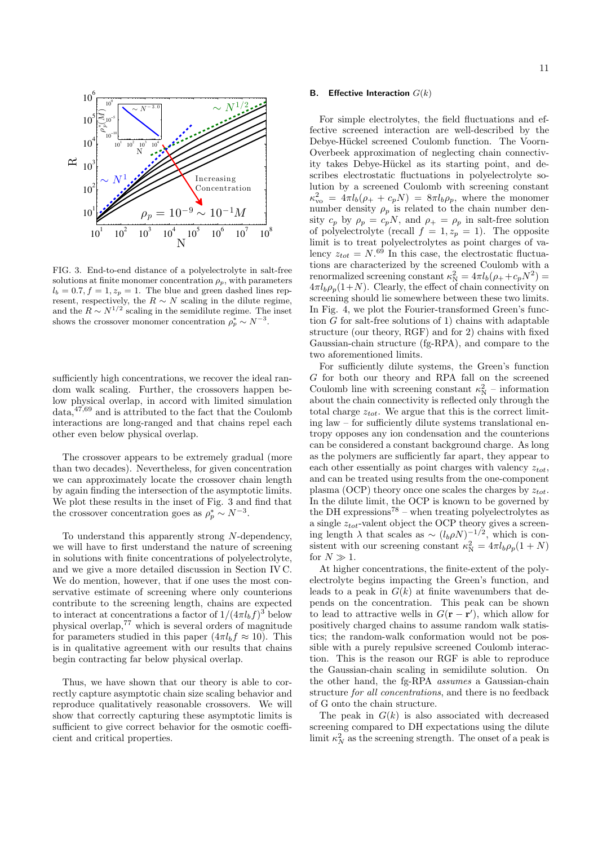

FIG. 3. End-to-end distance of a polyelectrolyte in salt-free solutions at finite monomer concentration  $\rho_p$ , with parameters  $l_b = 0.7, f = 1, z_p = 1$ . The blue and green dashed lines represent, respectively, the  $R \sim N$  scaling in the dilute regime, and the  $R \sim N^{1/2}$  scaling in the semidilute regime. The inset shows the crossover monomer concentration  $\rho_p^* \sim N^{-3}$ .

sufficiently high concentrations, we recover the ideal random walk scaling. Further, the crossovers happen below physical overlap, in accord with limited simulation data,47,69 and is attributed to the fact that the Coulomb interactions are long-ranged and that chains repel each other even below physical overlap.

The crossover appears to be extremely gradual (more than two decades). Nevertheless, for given concentration we can approximately locate the crossover chain length by again finding the intersection of the asymptotic limits. We plot these results in the inset of Fig. 3 and find that the crossover concentration goes as  $\rho_p^* \sim N^{-3}$ .

To understand this apparently strong N-dependency, we will have to first understand the nature of screening in solutions with finite concentrations of polyelectrolyte, and we give a more detailed discussion in Section IV C. We do mention, however, that if one uses the most conservative estimate of screening where only counterions contribute to the screening length, chains are expected to interact at concentrations a factor of  $1/(4\pi l_b f)^3$  below physical overlap,  $77$  which is several orders of magnitude for parameters studied in this paper  $(4\pi l_b f \approx 10)$ . This is in qualitative agreement with our results that chains begin contracting far below physical overlap.

Thus, we have shown that our theory is able to correctly capture asymptotic chain size scaling behavior and reproduce qualitatively reasonable crossovers. We will show that correctly capturing these asymptotic limits is sufficient to give correct behavior for the osmotic coefficient and critical properties.

#### 11

#### **B.** Effective Interaction  $G(k)$

For simple electrolytes, the field fluctuations and effective screened interaction are well-described by the Debye-Hückel screened Coulomb function. The Voorn-Overbeek approximation of neglecting chain connectivity takes Debye-Hückel as its starting point, and describes electrostatic fluctuations in polyelectrolyte solution by a screened Coulomb with screening constant  $\kappa_{\rm vo}^2 = 4\pi l_b (\rho_+ + c_p N) = 8\pi l_b \rho_p$ , where the monomer number density  $\rho_p$  is related to the chain number density  $c_p$  by  $\rho_p = c_p N$ , and  $\rho_+ = \rho_p$  in salt-free solution of polyelectrolyte (recall  $f = 1, z_p = 1$ ). The opposite limit is to treat polyelectrolytes as point charges of valency  $z_{tot} = N^{.69}$  In this case, the electrostatic fluctuations are characterized by the screened Coulomb with a renormalized screening constant  $\kappa_N^2 = 4\pi l_b(\rho_+ + c_p N^2) =$  $4\pi l_b \rho_p (1+N)$ . Clearly, the effect of chain connectivity on screening should lie somewhere between these two limits. In Fig. 4, we plot the Fourier-transformed Green's function G for salt-free solutions of 1) chains with adaptable structure (our theory, RGF) and for 2) chains with fixed Gaussian-chain structure (fg-RPA), and compare to the two aforementioned limits.

For sufficiently dilute systems, the Green's function G for both our theory and RPA fall on the screened Coulomb line with screening constant  $\kappa_N^2$  – information about the chain connectivity is reflected only through the total charge  $z_{tot}$ . We argue that this is the correct limiting law – for sufficiently dilute systems translational entropy opposes any ion condensation and the counterions can be considered a constant background charge. As long as the polymers are sufficiently far apart, they appear to each other essentially as point charges with valency  $z_{tot}$ , and can be treated using results from the one-component plasma (OCP) theory once one scales the charges by  $z_{tot}$ . In the dilute limit, the OCP is known to be governed by the DH expressions<sup>78</sup> – when treating polyelectrolytes as a single  $z_{tot}$ -valent object the OCP theory gives a screening length  $\lambda$  that scales as ~  $(l_b \rho N)^{-1/2}$ , which is consistent with our screening constant  $\kappa_N^2 = 4\pi l_b \rho_p (1 + N)$ for  $N \gg 1$ .

At higher concentrations, the finite-extent of the polyelectrolyte begins impacting the Green's function, and leads to a peak in  $G(k)$  at finite wavenumbers that depends on the concentration. This peak can be shown to lead to attractive wells in  $G(\mathbf{r} - \mathbf{r}')$ , which allow for positively charged chains to assume random walk statistics; the random-walk conformation would not be possible with a purely repulsive screened Coulomb interaction. This is the reason our RGF is able to reproduce the Gaussian-chain scaling in semidilute solution. On the other hand, the fg-RPA assumes a Gaussian-chain structure for all concentrations, and there is no feedback of G onto the chain structure.

The peak in  $G(k)$  is also associated with decreased screening compared to DH expectations using the dilute limit  $\kappa_N^2$  as the screening strength. The onset of a peak is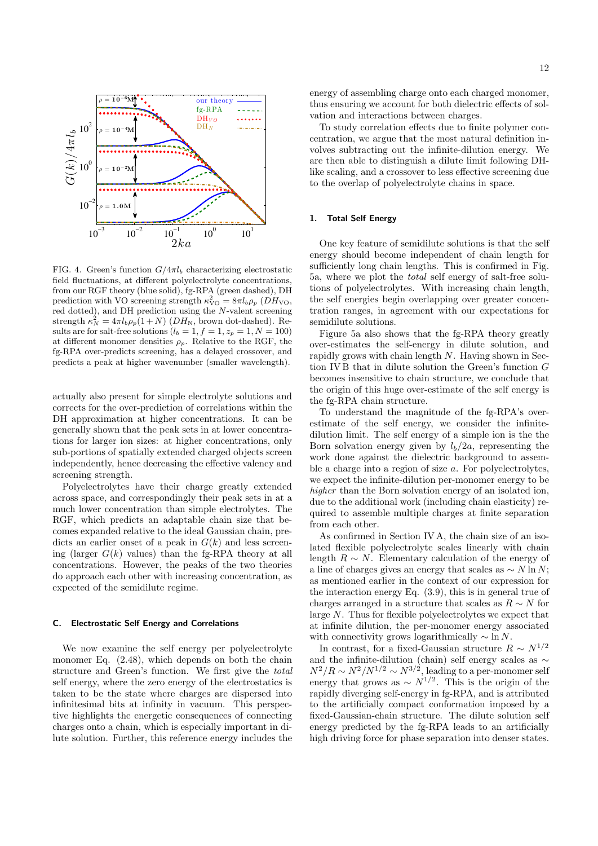

FIG. 4. Green's function  $G/4\pi l_b$  characterizing electrostatic field fluctuations, at different polyelectrolyte concentrations, from our RGF theory (blue solid), fg-RPA (green dashed), DH prediction with VO screening strength  $\kappa_{\rm VO}^2 = 8\pi l_b \rho_p (DH_{\rm VO},$ red dotted), and DH prediction using the N-valent screening strength  $\kappa_N^2 = 4\pi l_b \rho_p (1+N)$  ( $DH_N$ , brown dot-dashed). Results are for salt-free solutions  $(l_b = 1, f = 1, z_p = 1, N = 100)$ at different monomer densities  $\rho_p$ . Relative to the RGF, the fg-RPA over-predicts screening, has a delayed crossover, and predicts a peak at higher wavenumber (smaller wavelength).

actually also present for simple electrolyte solutions and corrects for the over-prediction of correlations within the DH approximation at higher concentrations. It can be generally shown that the peak sets in at lower concentrations for larger ion sizes: at higher concentrations, only sub-portions of spatially extended charged objects screen independently, hence decreasing the effective valency and screening strength.

Polyelectrolytes have their charge greatly extended across space, and correspondingly their peak sets in at a much lower concentration than simple electrolytes. The RGF, which predicts an adaptable chain size that becomes expanded relative to the ideal Gaussian chain, predicts an earlier onset of a peak in  $G(k)$  and less screening (larger  $G(k)$  values) than the fg-RPA theory at all concentrations. However, the peaks of the two theories do approach each other with increasing concentration, as expected of the semidilute regime.

#### C. Electrostatic Self Energy and Correlations

We now examine the self energy per polyelectrolyte monomer Eq.  $(2.48)$ , which depends on both the chain structure and Green's function. We first give the total self energy, where the zero energy of the electrostatics is taken to be the state where charges are dispersed into infinitesimal bits at infinity in vacuum. This perspective highlights the energetic consequences of connecting charges onto a chain, which is especially important in dilute solution. Further, this reference energy includes the

energy of assembling charge onto each charged monomer, thus ensuring we account for both dielectric effects of solvation and interactions between charges.

To study correlation effects due to finite polymer concentration, we argue that the most natural definition involves subtracting out the infinite-dilution energy. We are then able to distinguish a dilute limit following DHlike scaling, and a crossover to less effective screening due to the overlap of polyelectrolyte chains in space.

#### 1. Total Self Energy

One key feature of semidilute solutions is that the self energy should become independent of chain length for sufficiently long chain lengths. This is confirmed in Fig. 5a, where we plot the total self energy of salt-free solutions of polyelectrolytes. With increasing chain length, the self energies begin overlapping over greater concentration ranges, in agreement with our expectations for semidilute solutions.

Figure 5a also shows that the fg-RPA theory greatly over-estimates the self-energy in dilute solution, and rapidly grows with chain length  $N$ . Having shown in Section IV B that in dilute solution the Green's function G becomes insensitive to chain structure, we conclude that the origin of this huge over-estimate of the self energy is the fg-RPA chain structure.

To understand the magnitude of the fg-RPA's overestimate of the self energy, we consider the infinitedilution limit. The self energy of a simple ion is the the Born solvation energy given by  $l_b/2a$ , representing the work done against the dielectric background to assemble a charge into a region of size a. For polyelectrolytes, we expect the infinite-dilution per-monomer energy to be higher than the Born solvation energy of an isolated ion. due to the additional work (including chain elasticity) required to assemble multiple charges at finite separation from each other.

As confirmed in Section IV A, the chain size of an isolated flexible polyelectrolyte scales linearly with chain length  $R \sim N$ . Elementary calculation of the energy of a line of charges gives an energy that scales as  $\sim N \ln N$ ; as mentioned earlier in the context of our expression for the interaction energy Eq. (3.9), this is in general true of charges arranged in a structure that scales as  $R \sim N$  for large N. Thus for flexible polyelectrolytes we expect that at infinite dilution, the per-monomer energy associated with connectivity grows logarithmically  $\sim \ln N$ .

In contrast, for a fixed-Gaussian structure  $R \sim N^{1/2}$ and the infinite-dilution (chain) self energy scales as  $\sim$  $N^2/R \sim N^2/N^{1/2} \sim N^{3/2}$ , leading to a per-monomer self energy that grows as  $\sim N^{1/2}$ . This is the origin of the rapidly diverging self-energy in fg-RPA, and is attributed to the artificially compact conformation imposed by a fixed-Gaussian-chain structure. The dilute solution self energy predicted by the fg-RPA leads to an artificially high driving force for phase separation into denser states.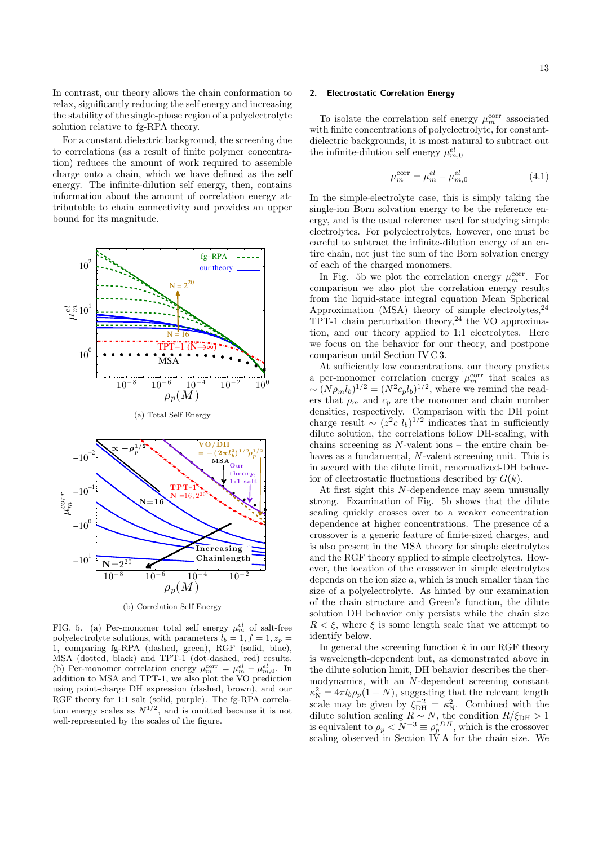In contrast, our theory allows the chain conformation to relax, significantly reducing the self energy and increasing the stability of the single-phase region of a polyelectrolyte solution relative to fg-RPA theory.

For a constant dielectric background, the screening due to correlations (as a result of finite polymer concentration) reduces the amount of work required to assemble charge onto a chain, which we have defined as the self energy. The infinite-dilution self energy, then, contains information about the amount of correlation energy attributable to chain connectivity and provides an upper bound for its magnitude.



(b) Correlation Self Energy

FIG. 5. (a) Per-monomer total self energy  $\mu_m^{el}$  of salt-free polyelectrolyte solutions, with parameters  $\tilde{l}_b = 1, f = 1, z_p =$ 1, comparing fg-RPA (dashed, green), RGF (solid, blue), MSA (dotted, black) and TPT-1 (dot-dashed, red) results. (b) Per-monomer correlation energy  $\mu_m^{\text{corr}} = \mu_m^{el} - \mu_{m,0}^{el}$ . In addition to MSA and TPT-1, we also plot the VO prediction using point-charge DH expression (dashed, brown), and our RGF theory for 1:1 salt (solid, purple). The fg-RPA correlation energy scales as  $N^{1/2}$ , and is omitted because it is not well-represented by the scales of the figure.

#### 2. Electrostatic Correlation Energy

To isolate the correlation self energy  $\mu_m^\mathrm{corr}$  associated with finite concentrations of polyelectrolyte, for constantdielectric backgrounds, it is most natural to subtract out the infinite-dilution self energy  $\mu_{m,0}^{el}$ 

$$
\mu_m^{\text{corr}} = \mu_m^{el} - \mu_{m,0}^{el} \tag{4.1}
$$

In the simple-electrolyte case, this is simply taking the single-ion Born solvation energy to be the reference energy, and is the usual reference used for studying simple electrolytes. For polyelectrolytes, however, one must be careful to subtract the infinite-dilution energy of an entire chain, not just the sum of the Born solvation energy of each of the charged monomers.

In Fig. 5b we plot the correlation energy  $\mu_m^{\text{corr}}$ . For comparison we also plot the correlation energy results from the liquid-state integral equation Mean Spherical Approximation (MSA) theory of simple electrolytes,  $24$ TPT-1 chain perturbation theory,<sup>24</sup> the VO approximation, and our theory applied to 1:1 electrolytes. Here we focus on the behavior for our theory, and postpone comparison until Section IV C 3.

At sufficiently low concentrations, our theory predicts a per-monomer correlation energy  $\mu_m^{\text{corr}}$  that scales as  $\sim (N \rho_m l_b)^{1/2} = (N^2 c_p l_b)^{1/2}$ , where we remind the readers that  $\rho_m$  and  $c_p$  are the monomer and chain number densities, respectively. Comparison with the DH point charge result  $\sim (z^2c \; l_b)^{1/2}$  indicates that in sufficiently dilute solution, the correlations follow DH-scaling, with chains screening as  $N$ -valent ions – the entire chain behaves as a fundamental, N-valent screening unit. This is in accord with the dilute limit, renormalized-DH behavior of electrostatic fluctuations described by  $G(k)$ .

At first sight this N-dependence may seem unusually strong. Examination of Fig. 5b shows that the dilute scaling quickly crosses over to a weaker concentration dependence at higher concentrations. The presence of a crossover is a generic feature of finite-sized charges, and is also present in the MSA theory for simple electrolytes and the RGF theory applied to simple electrolytes. However, the location of the crossover in simple electrolytes depends on the ion size  $a$ , which is much smaller than the size of a polyelectrolyte. As hinted by our examination of the chain structure and Green's function, the dilute solution DH behavior only persists while the chain size  $R < \xi$ , where  $\xi$  is some length scale that we attempt to identify below.

In general the screening function  $\hat{\kappa}$  in our RGF theory is wavelength-dependent but, as demonstrated above in the dilute solution limit, DH behavior describes the thermodynamics, with an N-dependent screening constant  $\kappa_N^2 = 4\pi l_b \rho_p (1+N)$ , suggesting that the relevant length scale may be given by  $\xi_{\text{DH}}^{-2} = \kappa_N^2$ . Combined with the dilute solution scaling  $R \sim N$ , the condition  $R/\xi_{\text{DH}} > 1$ is equivalent to  $\rho_p < N^{-3} \equiv \rho_p^{*DH}$ , which is the crossover scaling observed in Section IV A for the chain size. We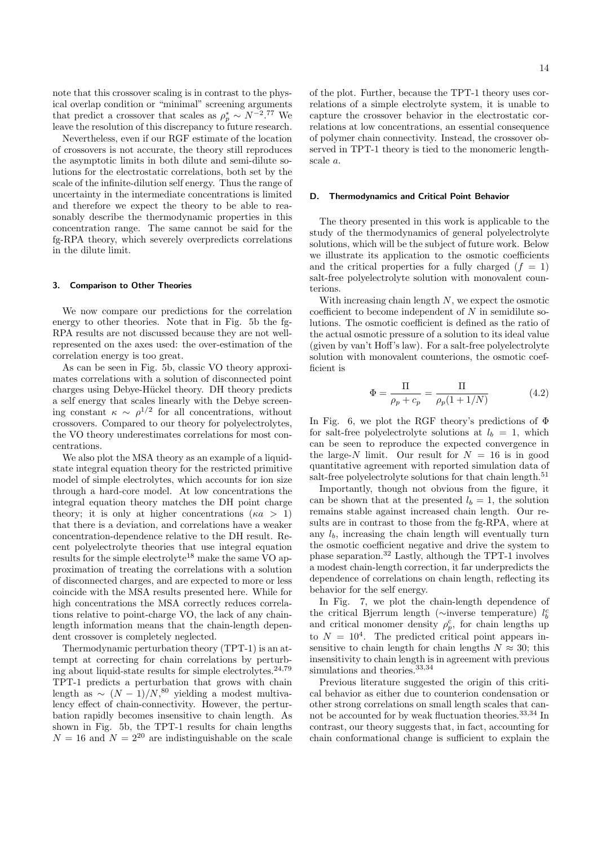note that this crossover scaling is in contrast to the physical overlap condition or "minimal" screening arguments that predict a crossover that scales as  $\rho_p^* \sim N^{-2.77}$  We leave the resolution of this discrepancy to future research.

Nevertheless, even if our RGF estimate of the location of crossovers is not accurate, the theory still reproduces the asymptotic limits in both dilute and semi-dilute solutions for the electrostatic correlations, both set by the scale of the infinite-dilution self energy. Thus the range of uncertainty in the intermediate concentrations is limited and therefore we expect the theory to be able to reasonably describe the thermodynamic properties in this concentration range. The same cannot be said for the fg-RPA theory, which severely overpredicts correlations in the dilute limit.

#### 3. Comparison to Other Theories

We now compare our predictions for the correlation energy to other theories. Note that in Fig. 5b the fg-RPA results are not discussed because they are not wellrepresented on the axes used: the over-estimation of the correlation energy is too great.

As can be seen in Fig. 5b, classic VO theory approximates correlations with a solution of disconnected point charges using Debye-Hückel theory. DH theory predicts a self energy that scales linearly with the Debye screening constant  $\kappa \sim \rho^{1/2}$  for all concentrations, without crossovers. Compared to our theory for polyelectrolytes, the VO theory underestimates correlations for most concentrations.

We also plot the MSA theory as an example of a liquidstate integral equation theory for the restricted primitive model of simple electrolytes, which accounts for ion size through a hard-core model. At low concentrations the integral equation theory matches the DH point charge theory; it is only at higher concentrations ( $\kappa a > 1$ ) that there is a deviation, and correlations have a weaker concentration-dependence relative to the DH result. Recent polyelectrolyte theories that use integral equation results for the simple electrolyte<sup>18</sup> make the same VO approximation of treating the correlations with a solution of disconnected charges, and are expected to more or less coincide with the MSA results presented here. While for high concentrations the MSA correctly reduces correlations relative to point-charge VO, the lack of any chainlength information means that the chain-length dependent crossover is completely neglected.

Thermodynamic perturbation theory (TPT-1) is an attempt at correcting for chain correlations by perturbing about liquid-state results for simple electrolytes.<sup>24,79</sup> TPT-1 predicts a perturbation that grows with chain length as  $\sim (N-1)/N^{80}$  yielding a modest multivalency effect of chain-connectivity. However, the perturbation rapidly becomes insensitive to chain length. As shown in Fig. 5b, the TPT-1 results for chain lengths  $N = 16$  and  $N = 2^{20}$  are indistinguishable on the scale of the plot. Further, because the TPT-1 theory uses correlations of a simple electrolyte system, it is unable to capture the crossover behavior in the electrostatic correlations at low concentrations, an essential consequence of polymer chain connectivity. Instead, the crossover observed in TPT-1 theory is tied to the monomeric length-

#### D. Thermodynamics and Critical Point Behavior

scale a.

The theory presented in this work is applicable to the study of the thermodynamics of general polyelectrolyte solutions, which will be the subject of future work. Below we illustrate its application to the osmotic coefficients and the critical properties for a fully charged  $(f = 1)$ salt-free polyelectrolyte solution with monovalent counterions.

With increasing chain length  $N$ , we expect the osmotic coefficient to become independent of  $N$  in semidilute solutions. The osmotic coefficient is defined as the ratio of the actual osmotic pressure of a solution to its ideal value (given by van't Hoff's law). For a salt-free polyelectrolyte solution with monovalent counterions, the osmotic coefficient is

$$
\Phi = \frac{\Pi}{\rho_p + c_p} = \frac{\Pi}{\rho_p (1 + 1/N)}
$$
(4.2)

In Fig. 6, we plot the RGF theory's predictions of Φ for salt-free polyelectrolyte solutions at  $l_b = 1$ , which can be seen to reproduce the expected convergence in the large- $N$  limit. Our result for  $N = 16$  is in good quantitative agreement with reported simulation data of salt-free polyelectrolyte solutions for that chain length.<sup>51</sup>

Importantly, though not obvious from the figure, it can be shown that at the presented  $l_b = 1$ , the solution remains stable against increased chain length. Our results are in contrast to those from the fg-RPA, where at any  $l_b$ , increasing the chain length will eventually turn the osmotic coefficient negative and drive the system to phase separation.<sup>32</sup> Lastly, although the TPT-1 involves a modest chain-length correction, it far underpredicts the dependence of correlations on chain length, reflecting its behavior for the self energy.

In Fig. 7, we plot the chain-length dependence of the critical Bjerrum length (∼inverse temperature)  $l_b^c$ and critical monomer density  $\rho_p^c$ , for chain lengths up to  $N = 10<sup>4</sup>$ . The predicted critical point appears insensitive to chain length for chain lengths  $N \approx 30$ ; this insensitivity to chain length is in agreement with previous simulations and theories.  $33,34$ 

Previous literature suggested the origin of this critical behavior as either due to counterion condensation or other strong correlations on small length scales that cannot be accounted for by weak fluctuation theories.<sup>33,34</sup> In contrast, our theory suggests that, in fact, accounting for chain conformational change is sufficient to explain the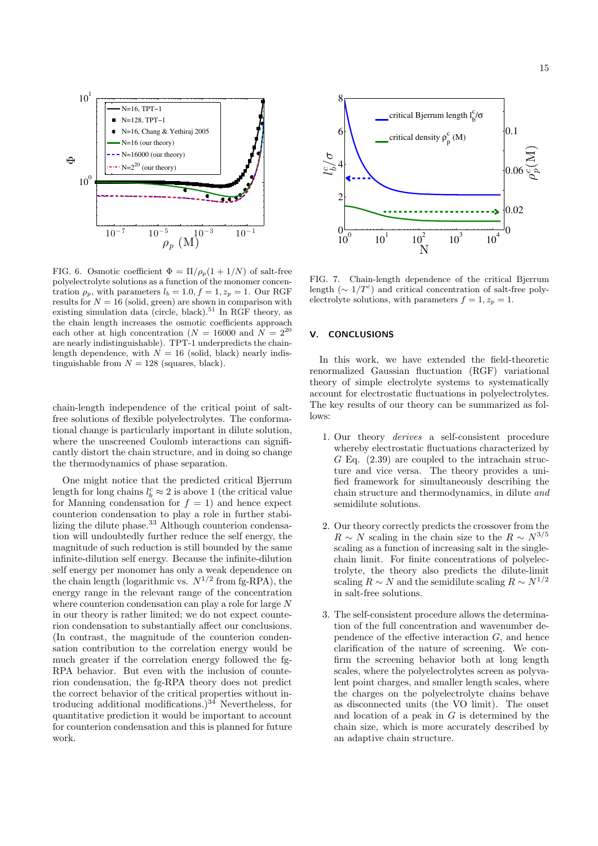

FIG. 6. Osmotic coefficient  $\Phi = \Pi/\rho_p(1 + 1/N)$  of salt-free polyelectrolyte solutions as a function of the monomer concentration  $\rho_p$ , with parameters  $l_b = 1.0, f = 1, z_p = 1$ . Our RGF results for  $N = 16$  (solid, green) are shown in comparison with existing simulation data (circle, black).<sup>51</sup> In RGF theory, as the chain length increases the osmotic coefficients approach each other at high concentration ( $N = 16000$  and  $N = 2^{20}$ are nearly indistinguishable). TPT-1 underpredicts the chainlength dependence, with  $N = 16$  (solid, black) nearly indistinguishable from  $N = 128$  (squares, black).

chain-length independence of the critical point of saltfree solutions of flexible polyelectrolytes. The conformational change is particularly important in dilute solution, where the unscreened Coulomb interactions can significantly distort the chain structure, and in doing so change the thermodynamics of phase separation.

One might notice that the predicted critical Bjerrum length for long chains  $l_b^c \approx 2$  is above 1 (the critical value for Manning condensation for  $f = 1$ ) and hence expect counterion condensation to play a role in further stabilizing the dilute phase.<sup>33</sup> Although counterion condensation will undoubtedly further reduce the self energy, the magnitude of such reduction is still bounded by the same infinite-dilution self energy. Because the infinite-dilution self energy per monomer has only a weak dependence on the chain length (logarithmic vs.  $N^{1/2}$  from fg-RPA), the energy range in the relevant range of the concentration where counterion condensation can play a role for large N in our theory is rather limited; we do not expect counterion condensation to substantially affect our conclusions. (In contrast, the magnitude of the counterion condensation contribution to the correlation energy would be much greater if the correlation energy followed the fg-RPA behavior. But even with the inclusion of counterion condensation, the fg-RPA theory does not predict the correct behavior of the critical properties without introducing additional modifications.) $34$  Nevertheless, for quantitative prediction it would be important to account for counterion condensation and this is planned for future work.



FIG. 7. Chain-length dependence of the critical Bjerrum length ( $\sim 1/T^c$ ) and critical concentration of salt-free polyelectrolyte solutions, with parameters  $f = 1, z_p = 1$ .

### V. CONCLUSIONS

In this work, we have extended the field-theoretic renormalized Gaussian fluctuation (RGF) variational theory of simple electrolyte systems to systematically account for electrostatic fluctuations in polyelectrolytes. The key results of our theory can be summarized as follows:

- 1. Our theory derives a self-consistent procedure whereby electrostatic fluctuations characterized by  $G$  Eq.  $(2.39)$  are coupled to the intrachain structure and vice versa. The theory provides a unified framework for simultaneously describing the chain structure and thermodynamics, in dilute and semidilute solutions.
- 2. Our theory correctly predicts the crossover from the  $R \sim N$  scaling in the chain size to the  $R \sim N^{3/5}$ scaling as a function of increasing salt in the singlechain limit. For finite concentrations of polyelectrolyte, the theory also predicts the dilute-limit scaling  $R \sim N$  and the semidilute scaling  $R \sim N^{1/2}$ in salt-free solutions.
- 3. The self-consistent procedure allows the determination of the full concentration and wavenumber dependence of the effective interaction G, and hence clarification of the nature of screening. We confirm the screening behavior both at long length scales, where the polyelectrolytes screen as polyvalent point charges, and smaller length scales, where the charges on the polyelectrolyte chains behave as disconnected units (the VO limit). The onset and location of a peak in  $G$  is determined by the chain size, which is more accurately described by an adaptive chain structure.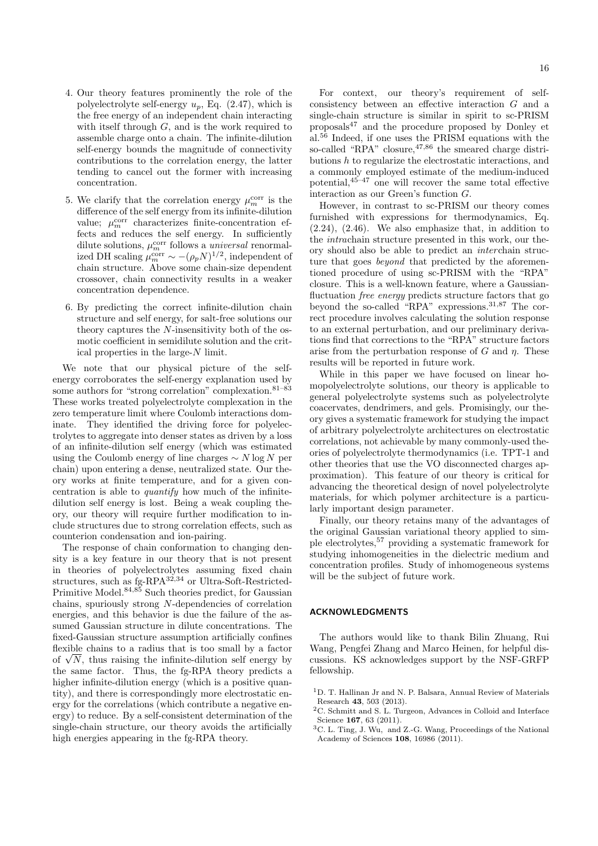- 4. Our theory features prominently the role of the polyelectrolyte self-energy  $u_p$ , Eq. (2.47), which is the free energy of an independent chain interacting with itself through  $G$ , and is the work required to assemble charge onto a chain. The infinite-dilution self-energy bounds the magnitude of connectivity contributions to the correlation energy, the latter tending to cancel out the former with increasing concentration.
- 5. We clarify that the correlation energy  $\mu_m^\mathrm{corr}$  is the difference of the self energy from its infinite-dilution value;  $\mu_m^{\text{corr}}$  characterizes finite-concentration effects and reduces the self energy. In sufficiently dilute solutions,  $\mu_m^{\text{corr}}$  follows a *universal* renormalized DH scaling  $\mu_m^{\text{corr}} \sim -(\rho_p N)^{1/2}$ , independent of chain structure. Above some chain-size dependent crossover, chain connectivity results in a weaker concentration dependence.
- 6. By predicting the correct infinite-dilution chain structure and self energy, for salt-free solutions our theory captures the N-insensitivity both of the osmotic coefficient in semidilute solution and the critical properties in the large-N limit.

We note that our physical picture of the selfenergy corroborates the self-energy explanation used by some authors for "strong correlation" complexation.<sup>81–83</sup> These works treated polyelectrolyte complexation in the zero temperature limit where Coulomb interactions dominate. They identified the driving force for polyelectrolytes to aggregate into denser states as driven by a loss of an infinite-dilution self energy (which was estimated using the Coulomb energy of line charges  $\sim N \log N$  per chain) upon entering a dense, neutralized state. Our theory works at finite temperature, and for a given concentration is able to quantify how much of the infinitedilution self energy is lost. Being a weak coupling theory, our theory will require further modification to include structures due to strong correlation effects, such as counterion condensation and ion-pairing.

The response of chain conformation to changing density is a key feature in our theory that is not present in theories of polyelectrolytes assuming fixed chain structures, such as  $fg-RPA^{32,34}$  or Ultra-Soft-Restricted-Primitive Model.<sup>84,85</sup> Such theories predict, for Gaussian chains, spuriously strong N-dependencies of correlation energies, and this behavior is due the failure of the assumed Gaussian structure in dilute concentrations. The fixed-Gaussian structure assumption artificially confines flexible chains to a radius that is too small by a factor of  $\sqrt{N}$ , thus raising the infinite-dilution self energy by the same factor. Thus, the fg-RPA theory predicts a higher infinite-dilution energy (which is a positive quantity), and there is correspondingly more electrostatic energy for the correlations (which contribute a negative energy) to reduce. By a self-consistent determination of the single-chain structure, our theory avoids the artificially high energies appearing in the fg-RPA theory.

For context, our theory's requirement of selfconsistency between an effective interaction G and a single-chain structure is similar in spirit to sc-PRISM proposals<sup>47</sup> and the procedure proposed by Donley et al.<sup>56</sup> Indeed, if one uses the PRISM equations with the so-called "RPA" closure,  $47,86$  the smeared charge distributions h to regularize the electrostatic interactions, and a commonly employed estimate of the medium-induced potential, $45-47$  one will recover the same total effective

interaction as our Green's function G. However, in contrast to sc-PRISM our theory comes furnished with expressions for thermodynamics, Eq. (2.24), (2.46). We also emphasize that, in addition to the intrachain structure presented in this work, our theory should also be able to predict an interchain structure that goes *beyond* that predicted by the aforementioned procedure of using sc-PRISM with the "RPA" closure. This is a well-known feature, where a Gaussianfluctuation *free energy* predicts structure factors that go beyond the so-called "RPA" expressions.<sup>31,87</sup> The correct procedure involves calculating the solution response to an external perturbation, and our preliminary derivations find that corrections to the "RPA" structure factors arise from the perturbation response of G and  $\eta$ . These results will be reported in future work.

While in this paper we have focused on linear homopolyelectrolyte solutions, our theory is applicable to general polyelectrolyte systems such as polyelectrolyte coacervates, dendrimers, and gels. Promisingly, our theory gives a systematic framework for studying the impact of arbitrary polyelectrolyte architectures on electrostatic correlations, not achievable by many commonly-used theories of polyelectrolyte thermodynamics (i.e. TPT-1 and other theories that use the VO disconnected charges approximation). This feature of our theory is critical for advancing the theoretical design of novel polyelectrolyte materials, for which polymer architecture is a particularly important design parameter.

Finally, our theory retains many of the advantages of the original Gaussian variational theory applied to simple electrolytes,<sup>57</sup> providing a systematic framework for studying inhomogeneities in the dielectric medium and concentration profiles. Study of inhomogeneous systems will be the subject of future work.

#### ACKNOWLEDGMENTS

The authors would like to thank Bilin Zhuang, Rui Wang, Pengfei Zhang and Marco Heinen, for helpful discussions. KS acknowledges support by the NSF-GRFP fellowship.

 $^1\mathrm{D}.$  T. Hallinan Jr and N. P. Balsara, Annual Review of Materials Research 43, 503 (2013).

<sup>2</sup>C. Schmitt and S. L. Turgeon, Advances in Colloid and Interface Science 167, 63 (2011).

 $^3\mathrm{C}$  L. Ting, J. Wu,  $% ^3\mathrm{C}$  and Z.-G. Wang, Proceedings of the National Academy of Sciences 108, 16986 (2011).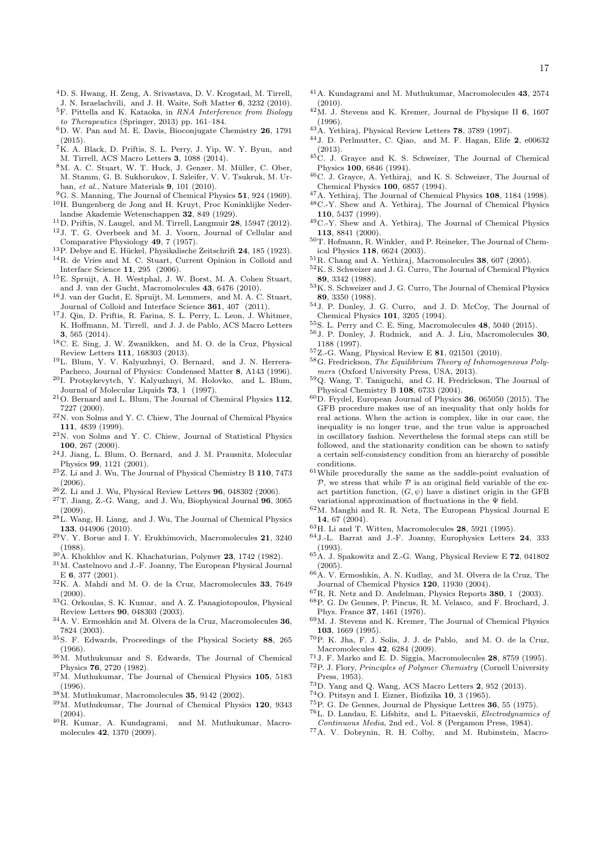- <sup>4</sup>D. S. Hwang, H. Zeng, A. Srivastava, D. V. Krogstad, M. Tirrell, J. N. Israelachvili, and J. H. Waite, Soft Matter 6, 3232 (2010).
- <sup>5</sup>F. Pittella and K. Kataoka, in *RNA Interference from Biology* to Therapeutics (Springer, 2013) pp. 161–184.
- <sup>6</sup>D. W. Pan and M. E. Davis, Bioconjugate Chemistry 26, 1791 (2015).
- <sup>7</sup>K. A. Black, D. Priftis, S. L. Perry, J. Yip, W. Y. Byun, and M. Tirrell, ACS Macro Letters 3, 1088 (2014).
- 8M. A. C. Stuart, W. T. Huck, J. Genzer, M. Müller, C. Ober, M. Stamm, G. B. Sukhorukov, I. Szleifer, V. V. Tsukruk, M. Urban, et al., Nature Materials 9, 101 (2010).
- <sup>9</sup>G. S. Manning, The Journal of Chemical Physics 51, 924 (1969). <sup>10</sup>H. Bungenberg de Jong and H. Kruyt, Proc Koninklijke Nederlandse Akademie Wetenschappen 32, 849 (1929).
- $11$ D. Priftis, N. Laugel, and M. Tirrell, Langmuir 28, 15947 (2012).
- <sup>12</sup>J. T. G. Overbeek and M. J. Voorn, Journal of Cellular and Comparative Physiology 49, 7 (1957).
- <sup>13</sup>P. Debye and E. Hückel, Physikalische Zeitschrift 24, 185 (1923).
- <sup>14</sup>R. de Vries and M. C. Stuart, Current Opinion in Colloid and Interface Science 11, 295 (2006).
- <sup>15</sup>E. Spruijt, A. H. Westphal, J. W. Borst, M. A. Cohen Stuart, and J. van der Gucht, Macromolecules 43, 6476 (2010).
- <sup>16</sup>J. van der Gucht, E. Spruijt, M. Lemmers, and M. A. C. Stuart, Journal of Colloid and Interface Science 361, 407 (2011).
- <sup>17</sup>J. Qin, D. Priftis, R. Farina, S. L. Perry, L. Leon, J. Whitmer, K. Hoffmann, M. Tirrell, and J. J. de Pablo, ACS Macro Letters 3, 565 (2014).
- <sup>18</sup>C. E. Sing, J. W. Zwanikken, and M. O. de la Cruz, Physical Review Letters 111, 168303 (2013).
- <sup>19</sup>L. Blum, Y. V. Kalyuzhnyi, O. Bernard, and J. N. Herrera-Pacheco, Journal of Physics: Condensed Matter 8, A143 (1996).
- <sup>20</sup>I. Protsykevytch, Y. Kalyuzhnyi, M. Holovko, and L. Blum, Journal of Molecular Liquids 73, 1 (1997).
- <sup>21</sup>O. Bernard and L. Blum, The Journal of Chemical Physics 112, 7227 (2000).
- <sup>22</sup>N. von Solms and Y. C. Chiew, The Journal of Chemical Physics 111, 4839 (1999).
- <sup>23</sup>N. von Solms and Y. C. Chiew, Journal of Statistical Physics 100, 267 (2000).
- <sup>24</sup>J. Jiang, L. Blum, O. Bernard, and J. M. Prausnitz, Molecular Physics 99, 1121 (2001).
- <sup>25</sup>Z. Li and J. Wu, The Journal of Physical Chemistry B 110, 7473 (2006).
- $^{26}$ Z. Li and J. Wu, Physical Review Letters 96, 048302 (2006).
- <sup>27</sup>T. Jiang, Z.-G. Wang, and J. Wu, Biophysical Journal 96, 3065 (2009).
- <sup>28</sup>L. Wang, H. Liang, and J. Wu, The Journal of Chemical Physics 133, 044906 (2010).
- $^{29}{\rm V.}$  Y. Borue and I. Y. Erukhimovich, Macromolecules  ${\bf 21}, \ 3240$ (1988).
- $30A$ . Khokhlov and K. Khachaturian, Polymer 23, 1742 (1982).
- $^{31}{\rm M}.$  Castelnovo and J.-F. Joanny, The European Physical Journal E 6, 377 (2001).
- <sup>32</sup>K. A. Mahdi and M. O. de la Cruz, Macromolecules 33, 7649  $(2000)$
- <sup>33</sup>G. Orkoulas, S. K. Kumar, and A. Z. Panagiotopoulos, Physical Review Letters 90, 048303 (2003).
- $34\mbox{\normalfont\AA}$ . V. Ermoshkin and M. Olvera de la Cruz, Macromolecules 36, 7824 (2003).
- <sup>35</sup>S. F. Edwards, Proceedings of the Physical Society 88, 265 (1966).
- <sup>36</sup>M. Muthukumar and S. Edwards, The Journal of Chemical Physics 76, 2720 (1982).
- <sup>37</sup>M. Muthukumar, The Journal of Chemical Physics 105, 5183 (1996).
- $38M.$  Muthukumar, Macromolecules 35, 9142 (2002).
- <sup>39</sup>M. Muthukumar, The Journal of Chemical Physics 120, 9343 (2004).
- <sup>40</sup>R. Kumar, A. Kundagrami, and M. Muthukumar, Macromolecules 42, 1370 (2009).
- <sup>41</sup>A. Kundagrami and M. Muthukumar, Macromolecules 43, 2574  $(2010)$ .
- $^{42}$  M. J. Stevens and K. Kremer, Journal de Physique II 6, 1607 (1996).
- $43A$ . Yethiraj, Physical Review Letters 78, 3789 (1997).
- <sup>44</sup>J. D. Perlmutter, C. Qiao, and M. F. Hagan, Elife 2, e00632 (2013).
- <sup>45</sup>C. J. Grayce and K. S. Schweizer, The Journal of Chemical Physics 100, 6846 (1994).
- <sup>46</sup>C. J. Grayce, A. Yethiraj, and K. S. Schweizer, The Journal of Chemical Physics 100, 6857 (1994).
- <sup>47</sup>A. Yethiraj, The Journal of Chemical Physics 108, 1184 (1998). <sup>48</sup>C.-Y. Shew and A. Yethiraj, The Journal of Chemical Physics
- 110, 5437 (1999).
- <sup>49</sup>C.-Y. Shew and A. Yethiraj, The Journal of Chemical Physics 113, 8841 (2000).
- <sup>50</sup>T. Hofmann, R. Winkler, and P. Reineker, The Journal of Chemical Physics 118, 6624 (2003).
- <sup>51</sup>R. Chang and A. Yethiraj, Macromolecules 38, 607 (2005).
- $^{52}\mathrm{K}$  S. Schweizer and J. G. Curro, The Journal of Chemical Physics 89, 3342 (1988).
- <sup>53</sup>K. S. Schweizer and J. G. Curro, The Journal of Chemical Physics 89, 3350 (1988).
- <sup>54</sup>J. P. Donley, J. G. Curro, and J. D. McCoy, The Journal of Chemical Physics 101, 3205 (1994).
- <sup>55</sup>S. L. Perry and C. E. Sing, Macromolecules 48, 5040 (2015).
- <sup>56</sup>J. P. Donley, J. Rudnick, and A. J. Liu, Macromolecules 30, 1188 (1997).
- <sup>57</sup>Z.-G. Wang, Physical Review E 81, 021501 (2010).
- <sup>58</sup>G. Fredrickson, The Equilibrium Theory of Inhomogeneous Polymers (Oxford University Press, USA, 2013).
- <sup>59</sup>Q. Wang, T. Taniguchi, and G. H. Fredrickson, The Journal of Physical Chemistry B 108, 6733 (2004).
- $60$ D. Frydel, European Journal of Physics 36, 065050 (2015). The GFB procedure makes use of an inequality that only holds for real actions. When the action is complex, like in our case, the inequality is no longer true, and the true value is approached in oscillatory fashion. Nevertheless the formal steps can still be followed, and the stationarity condition can be shown to satisfy a certain self-consistency condition from an hierarchy of possible conditions.
- $\rm ^{61}W$  hile procedurally the same as the saddle-point evaluation of  $P$ , we stress that while  $P$  is an original field variable of the exact partition function,  $(G, \psi)$  have a distinct origin in the GFB variational approximation of fluctuations in the Ψ field.
- $^{62}{\rm M}$ . Manghi and R. R. Netz, The European Physical Journal E 14, 67 (2004).
- $63H.$  Li and T. Witten, Macromolecules 28, 5921 (1995).
- <sup>64</sup>J.-L. Barrat and J.-F. Joanny, Europhysics Letters 24, 333 (1993).
- ${}^{65}$ A. J. Spakowitz and Z.-G. Wang, Physical Review E 72, 041802 (2005).
- $^{66}\text{\AA}$  V. Ermoshkin, A. N. Kudlay, and M. Olvera de la Cruz, The Journal of Chemical Physics 120, 11930 (2004).
- ${}^{67}R$ . R. Netz and D. Andelman, Physics Reports  $380, 1$  (2003).
- <sup>68</sup>P. G. De Gennes, P. Pincus, R. M. Velasco, and F. Brochard, J. Phys. France 37, 1461 (1976).
- <sup>69</sup>M. J. Stevens and K. Kremer, The Journal of Chemical Physics 103, 1669 (1995).
- <sup>70</sup>P. K. Jha, F. J. Solis, J. J. de Pablo, and M. O. de la Cruz, Macromolecules 42, 6284 (2009).
- <sup>71</sup>J. F. Marko and E. D. Siggia, Macromolecules 28, 8759 (1995).
- <sup>72</sup>P. J. Flory, Principles of Polymer Chemistry (Cornell University Press, 1953).
- <sup>73</sup>D. Yang and Q. Wang, ACS Macro Letters 2, 952 (2013).
- $^{74}{\rm O}.$  Ptitsyn and I. Eizner, Biofizika 10, 3 (1965).
- 
- $^{75}$ P. G. De Gennes, Journal de Physique Lettres 36, 55 (1975). <sup>76</sup>L. D. Landau, E. Lifshitz, and L. Pitaevskii, Electrodynamics of
- Continuous Media, 2nd ed., Vol. 8 (Pergamon Press, 1984). <sup>77</sup>A. V. Dobrynin, R. H. Colby, and M. Rubinstein, Macro-